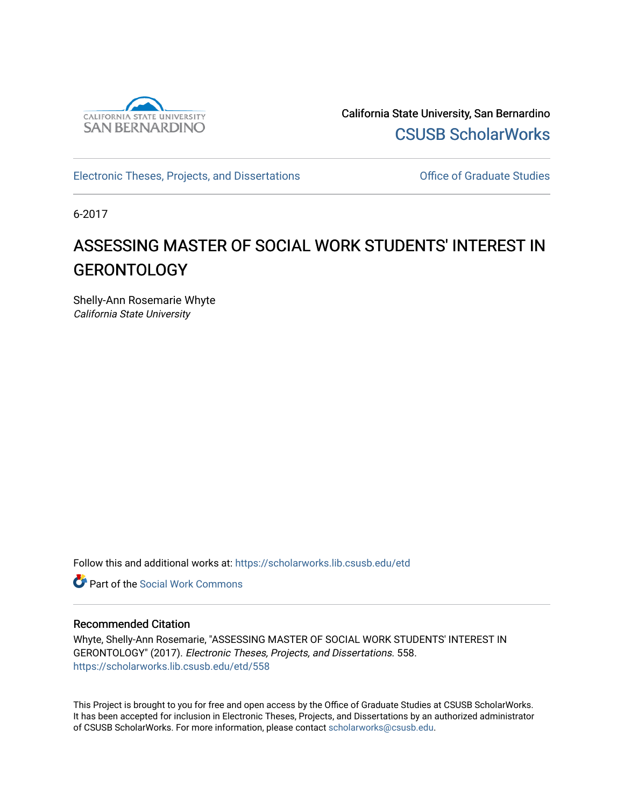

California State University, San Bernardino [CSUSB ScholarWorks](https://scholarworks.lib.csusb.edu/) 

[Electronic Theses, Projects, and Dissertations](https://scholarworks.lib.csusb.edu/etd) **Electronic Studies** Office of Graduate Studies

6-2017

# ASSESSING MASTER OF SOCIAL WORK STUDENTS' INTEREST IN GERONTOLOGY

Shelly-Ann Rosemarie Whyte California State University

Follow this and additional works at: [https://scholarworks.lib.csusb.edu/etd](https://scholarworks.lib.csusb.edu/etd?utm_source=scholarworks.lib.csusb.edu%2Fetd%2F558&utm_medium=PDF&utm_campaign=PDFCoverPages) 

Part of the [Social Work Commons](http://network.bepress.com/hgg/discipline/713?utm_source=scholarworks.lib.csusb.edu%2Fetd%2F558&utm_medium=PDF&utm_campaign=PDFCoverPages)

### Recommended Citation

Whyte, Shelly-Ann Rosemarie, "ASSESSING MASTER OF SOCIAL WORK STUDENTS' INTEREST IN GERONTOLOGY" (2017). Electronic Theses, Projects, and Dissertations. 558. [https://scholarworks.lib.csusb.edu/etd/558](https://scholarworks.lib.csusb.edu/etd/558?utm_source=scholarworks.lib.csusb.edu%2Fetd%2F558&utm_medium=PDF&utm_campaign=PDFCoverPages) 

This Project is brought to you for free and open access by the Office of Graduate Studies at CSUSB ScholarWorks. It has been accepted for inclusion in Electronic Theses, Projects, and Dissertations by an authorized administrator of CSUSB ScholarWorks. For more information, please contact [scholarworks@csusb.edu.](mailto:scholarworks@csusb.edu)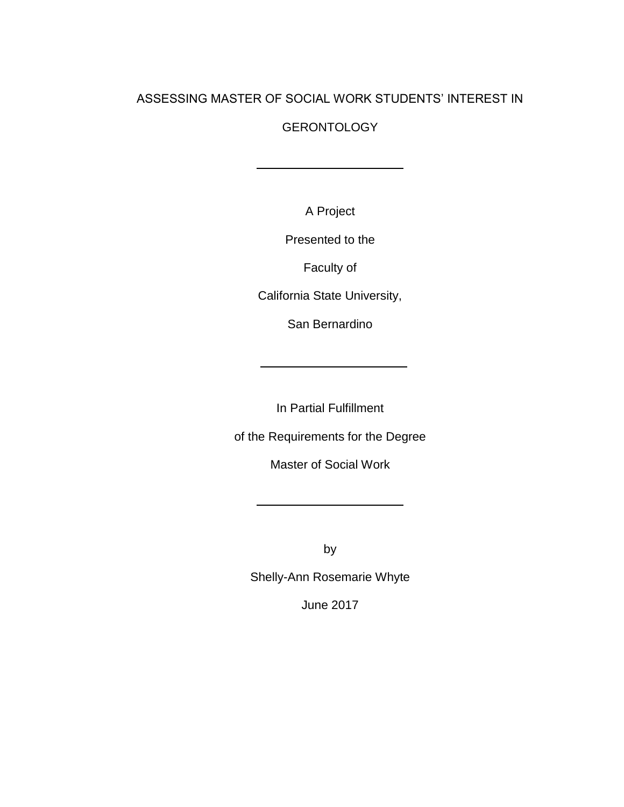## ASSESSING MASTER OF SOCIAL WORK STUDENTS' INTEREST IN

## GERONTOLOGY

A Project

Presented to the

Faculty of

California State University,

San Bernardino

In Partial Fulfillment

of the Requirements for the Degree

Master of Social Work

by

Shelly-Ann Rosemarie Whyte

June 2017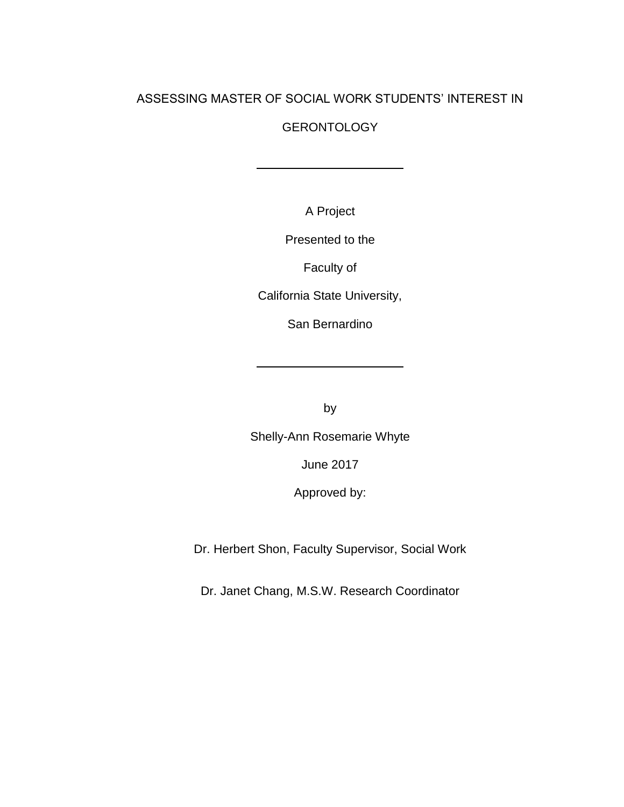## ASSESSING MASTER OF SOCIAL WORK STUDENTS' INTEREST IN

## **GERONTOLOGY**

A Project

Presented to the

Faculty of

California State University,

San Bernardino

by

Shelly-Ann Rosemarie Whyte

June 2017

Approved by:

Dr. Herbert Shon, Faculty Supervisor, Social Work

Dr. Janet Chang, M.S.W. Research Coordinator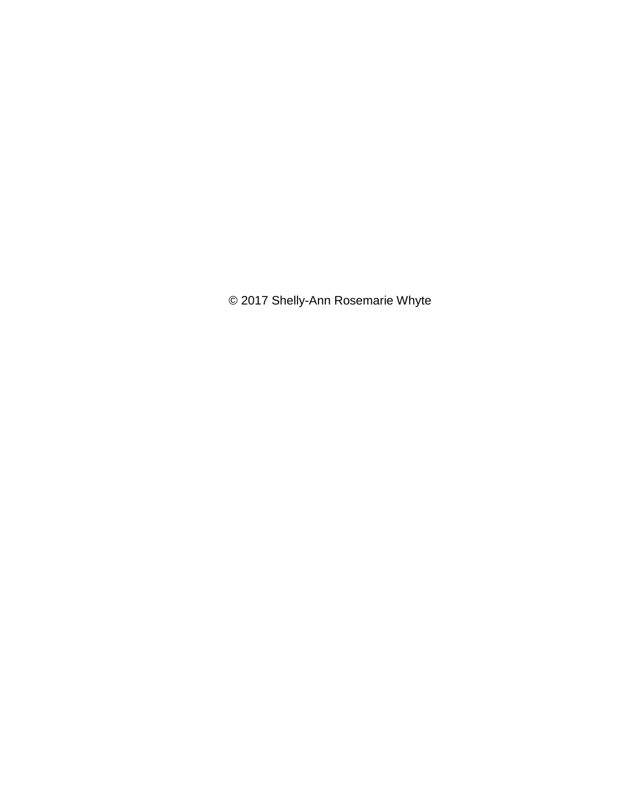© 2017 Shelly-Ann Rosemarie Whyte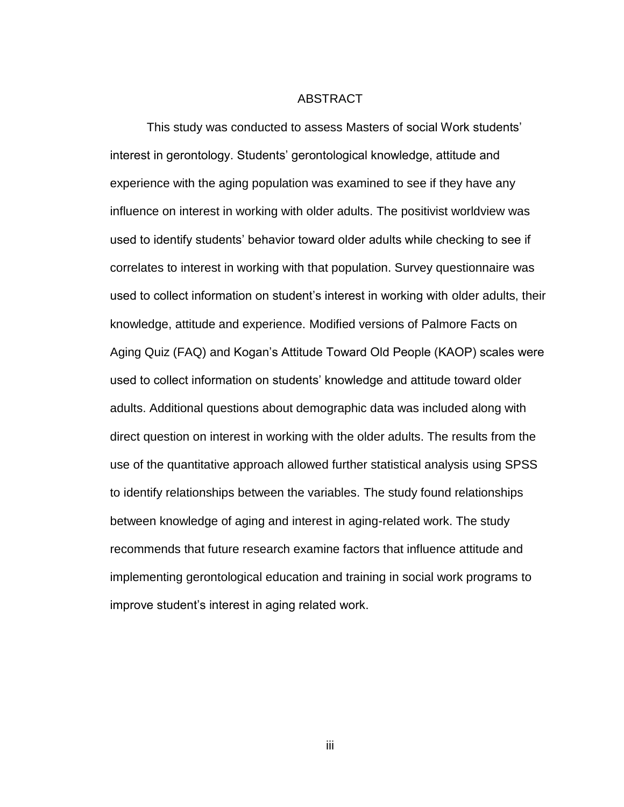#### ABSTRACT

<span id="page-4-0"></span>This study was conducted to assess Masters of social Work students' interest in gerontology. Students' gerontological knowledge, attitude and experience with the aging population was examined to see if they have any influence on interest in working with older adults. The positivist worldview was used to identify students' behavior toward older adults while checking to see if correlates to interest in working with that population. Survey questionnaire was used to collect information on student's interest in working with older adults, their knowledge, attitude and experience. Modified versions of Palmore Facts on Aging Quiz (FAQ) and Kogan's Attitude Toward Old People (KAOP) scales were used to collect information on students' knowledge and attitude toward older adults. Additional questions about demographic data was included along with direct question on interest in working with the older adults. The results from the use of the quantitative approach allowed further statistical analysis using SPSS to identify relationships between the variables. The study found relationships between knowledge of aging and interest in aging-related work. The study recommends that future research examine factors that influence attitude and implementing gerontological education and training in social work programs to improve student's interest in aging related work.

iii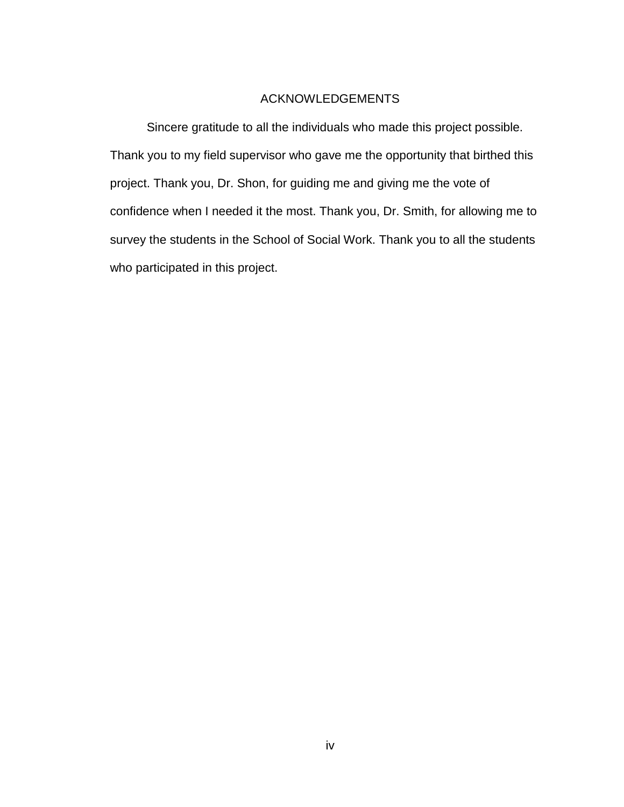## ACKNOWLEDGEMENTS

<span id="page-5-0"></span>Sincere gratitude to all the individuals who made this project possible. Thank you to my field supervisor who gave me the opportunity that birthed this project. Thank you, Dr. Shon, for guiding me and giving me the vote of confidence when I needed it the most. Thank you, Dr. Smith, for allowing me to survey the students in the School of Social Work. Thank you to all the students who participated in this project.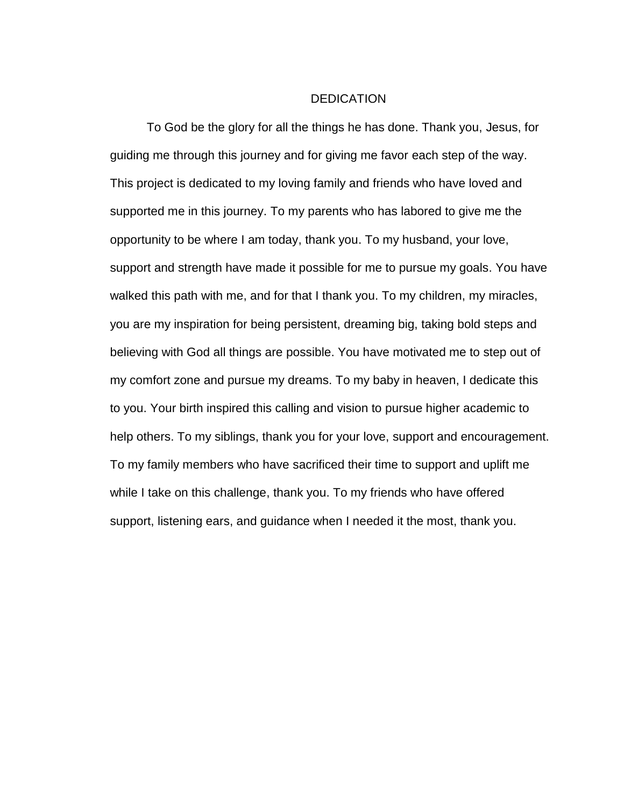#### **DEDICATION**

To God be the glory for all the things he has done. Thank you, Jesus, for guiding me through this journey and for giving me favor each step of the way. This project is dedicated to my loving family and friends who have loved and supported me in this journey. To my parents who has labored to give me the opportunity to be where I am today, thank you. To my husband, your love, support and strength have made it possible for me to pursue my goals. You have walked this path with me, and for that I thank you. To my children, my miracles, you are my inspiration for being persistent, dreaming big, taking bold steps and believing with God all things are possible. You have motivated me to step out of my comfort zone and pursue my dreams. To my baby in heaven, I dedicate this to you. Your birth inspired this calling and vision to pursue higher academic to help others. To my siblings, thank you for your love, support and encouragement. To my family members who have sacrificed their time to support and uplift me while I take on this challenge, thank you. To my friends who have offered support, listening ears, and guidance when I needed it the most, thank you.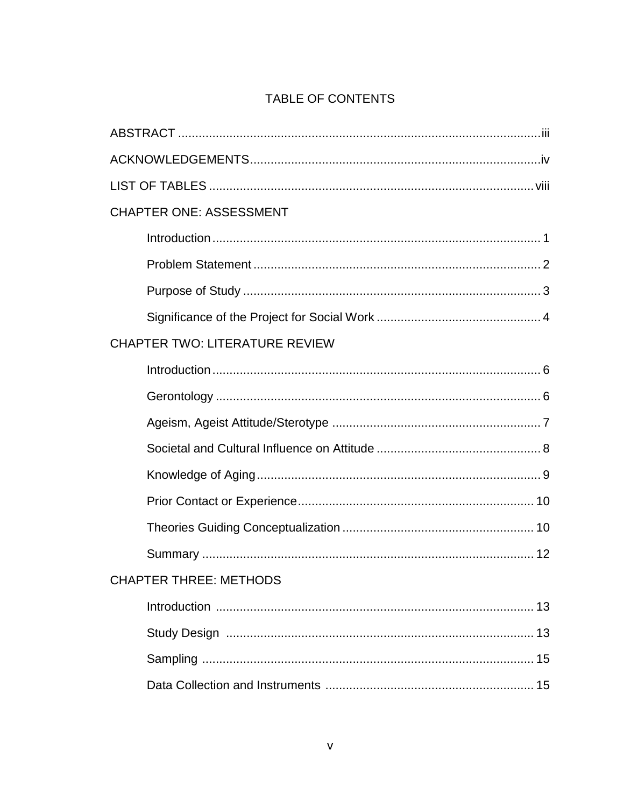## TABLE OF CONTENTS

| <b>CHAPTER ONE: ASSESSMENT</b>        |  |
|---------------------------------------|--|
|                                       |  |
|                                       |  |
|                                       |  |
|                                       |  |
| <b>CHAPTER TWO: LITERATURE REVIEW</b> |  |
|                                       |  |
|                                       |  |
|                                       |  |
|                                       |  |
|                                       |  |
|                                       |  |
|                                       |  |
|                                       |  |
| <b>CHAPTER THREE: METHODS</b>         |  |
|                                       |  |
|                                       |  |
|                                       |  |
|                                       |  |
|                                       |  |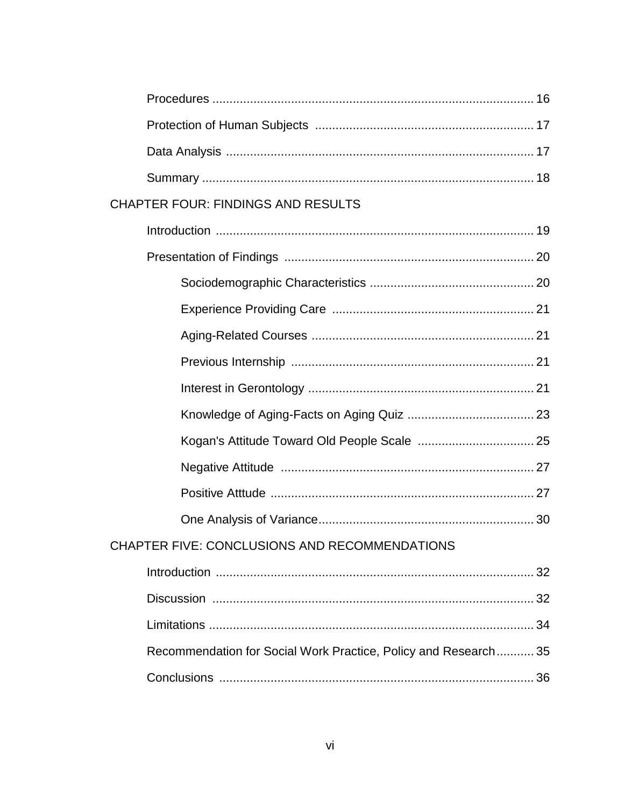| <b>CHAPTER FOUR: FINDINGS AND RESULTS</b>                       |  |
|-----------------------------------------------------------------|--|
|                                                                 |  |
|                                                                 |  |
|                                                                 |  |
|                                                                 |  |
|                                                                 |  |
|                                                                 |  |
|                                                                 |  |
|                                                                 |  |
|                                                                 |  |
|                                                                 |  |
|                                                                 |  |
|                                                                 |  |
| CHAPTER FIVE: CONCLUSIONS AND RECOMMENDATIONS                   |  |
|                                                                 |  |
|                                                                 |  |
|                                                                 |  |
| Recommendation for Social Work Practice, Policy and Research 35 |  |
|                                                                 |  |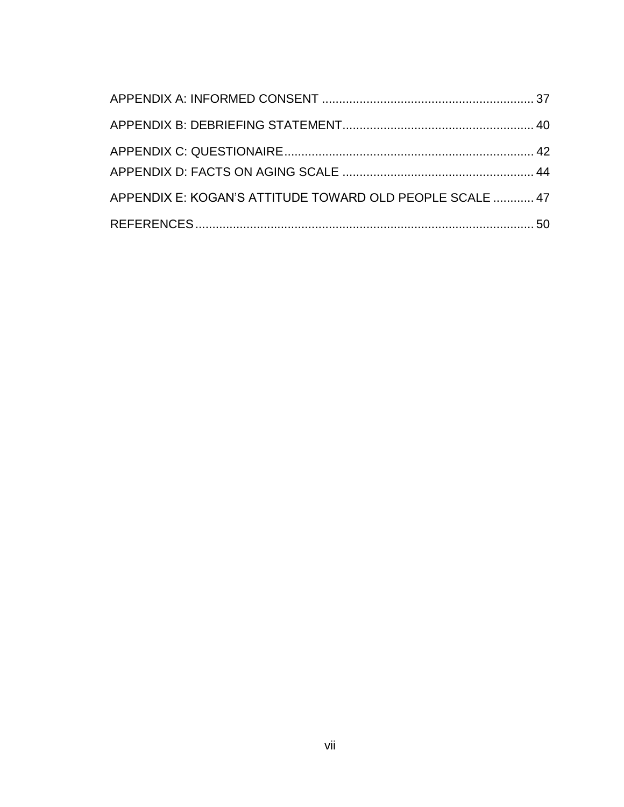| APPENDIX E: KOGAN'S ATTITUDE TOWARD OLD PEOPLE SCALE  47 |  |
|----------------------------------------------------------|--|
|                                                          |  |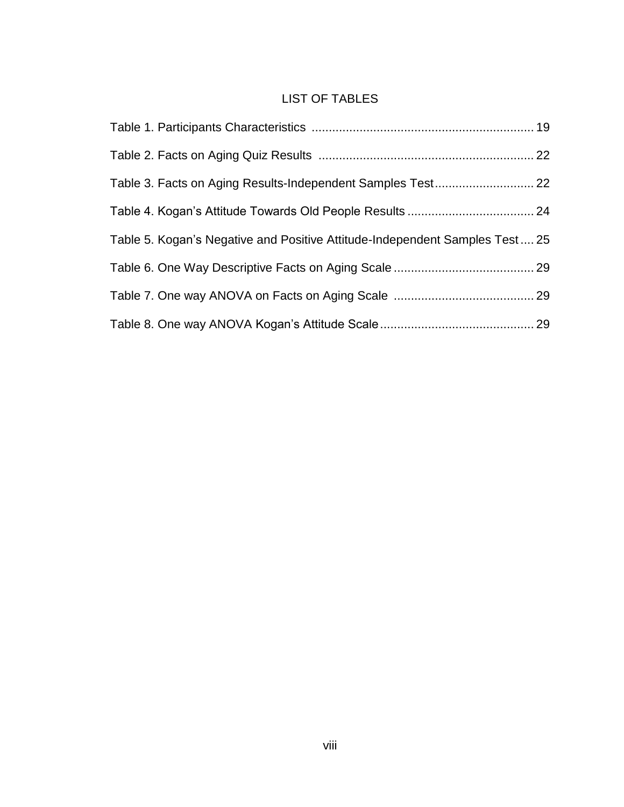## LIST OF TABLES

| Table 3. Facts on Aging Results-Independent Samples Test 22                 |  |
|-----------------------------------------------------------------------------|--|
|                                                                             |  |
| Table 5. Kogan's Negative and Positive Attitude-Independent Samples Test 25 |  |
|                                                                             |  |
|                                                                             |  |
|                                                                             |  |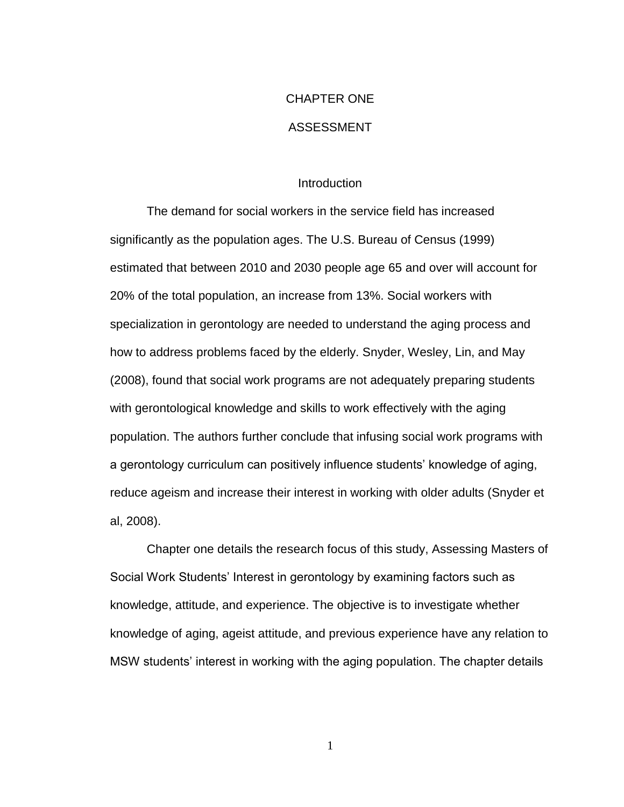# CHAPTER ONE

## ASSESSMENT

#### **Introduction**

The demand for social workers in the service field has increased significantly as the population ages. The U.S. Bureau of Census (1999) estimated that between 2010 and 2030 people age 65 and over will account for 20% of the total population, an increase from 13%. Social workers with specialization in gerontology are needed to understand the aging process and how to address problems faced by the elderly. Snyder, Wesley, Lin, and May (2008), found that social work programs are not adequately preparing students with gerontological knowledge and skills to work effectively with the aging population. The authors further conclude that infusing social work programs with a gerontology curriculum can positively influence students' knowledge of aging, reduce ageism and increase their interest in working with older adults (Snyder et al, 2008).

Chapter one details the research focus of this study, Assessing Masters of Social Work Students' Interest in gerontology by examining factors such as knowledge, attitude, and experience. The objective is to investigate whether knowledge of aging, ageist attitude, and previous experience have any relation to MSW students' interest in working with the aging population. The chapter details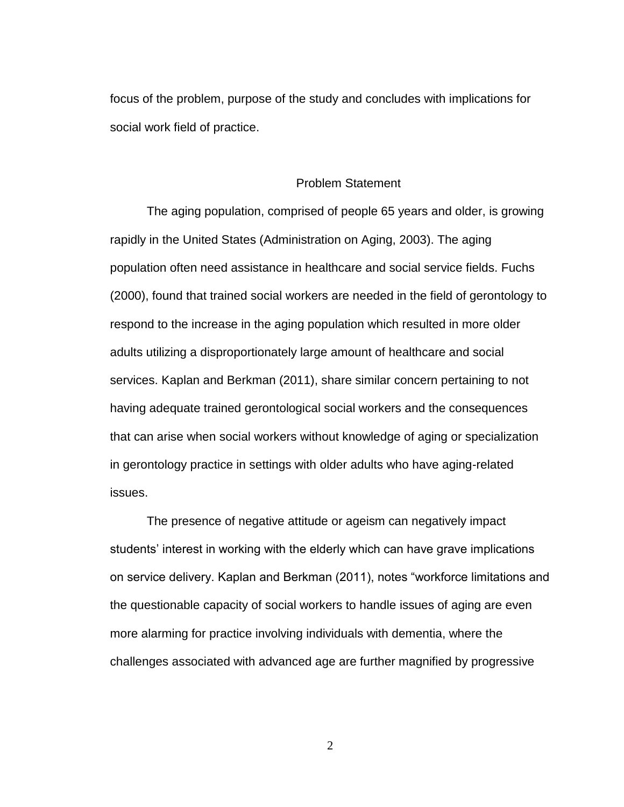focus of the problem, purpose of the study and concludes with implications for social work field of practice.

#### Problem Statement

The aging population, comprised of people 65 years and older, is growing rapidly in the United States (Administration on Aging, 2003). The aging population often need assistance in healthcare and social service fields. Fuchs (2000), found that trained social workers are needed in the field of gerontology to respond to the increase in the aging population which resulted in more older adults utilizing a disproportionately large amount of healthcare and social services. Kaplan and Berkman (2011), share similar concern pertaining to not having adequate trained gerontological social workers and the consequences that can arise when social workers without knowledge of aging or specialization in gerontology practice in settings with older adults who have aging-related issues.

The presence of negative attitude or ageism can negatively impact students' interest in working with the elderly which can have grave implications on service delivery. Kaplan and Berkman (2011), notes "workforce limitations and the questionable capacity of social workers to handle issues of aging are even more alarming for practice involving individuals with dementia, where the challenges associated with advanced age are further magnified by progressive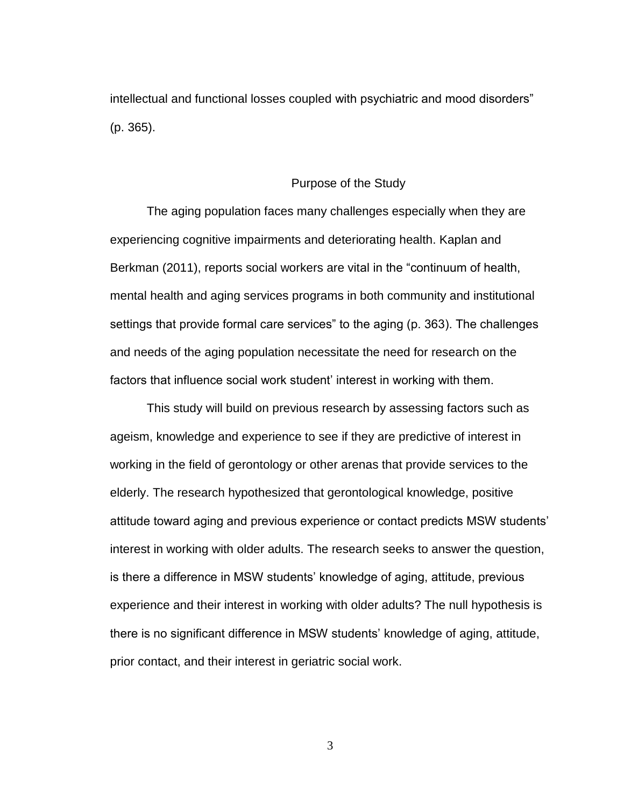intellectual and functional losses coupled with psychiatric and mood disorders" (p. 365).

#### Purpose of the Study

The aging population faces many challenges especially when they are experiencing cognitive impairments and deteriorating health. Kaplan and Berkman (2011), reports social workers are vital in the "continuum of health, mental health and aging services programs in both community and institutional settings that provide formal care services" to the aging (p. 363). The challenges and needs of the aging population necessitate the need for research on the factors that influence social work student' interest in working with them.

This study will build on previous research by assessing factors such as ageism, knowledge and experience to see if they are predictive of interest in working in the field of gerontology or other arenas that provide services to the elderly. The research hypothesized that gerontological knowledge, positive attitude toward aging and previous experience or contact predicts MSW students' interest in working with older adults. The research seeks to answer the question, is there a difference in MSW students' knowledge of aging, attitude, previous experience and their interest in working with older adults? The null hypothesis is there is no significant difference in MSW students' knowledge of aging, attitude, prior contact, and their interest in geriatric social work.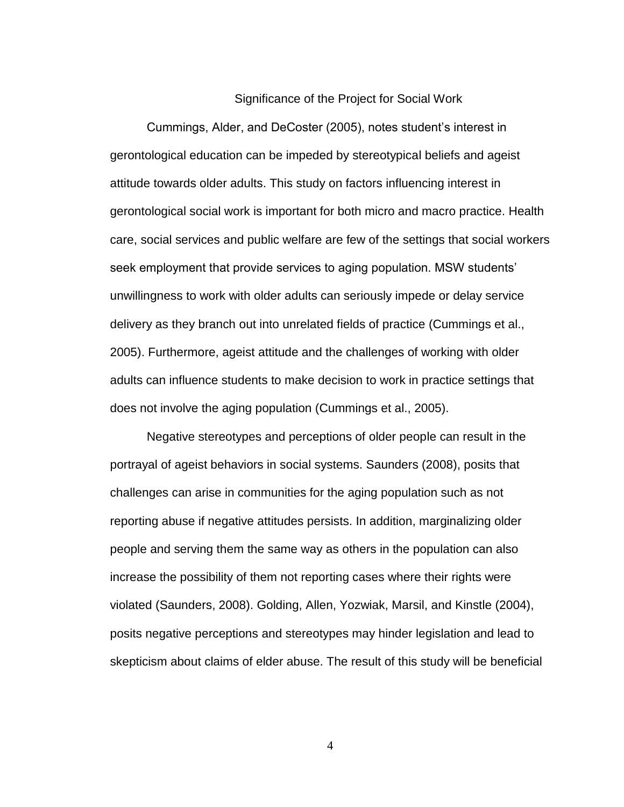#### Significance of the Project for Social Work

Cummings, Alder, and DeCoster (2005), notes student's interest in gerontological education can be impeded by stereotypical beliefs and ageist attitude towards older adults. This study on factors influencing interest in gerontological social work is important for both micro and macro practice. Health care, social services and public welfare are few of the settings that social workers seek employment that provide services to aging population. MSW students' unwillingness to work with older adults can seriously impede or delay service delivery as they branch out into unrelated fields of practice (Cummings et al., 2005). Furthermore, ageist attitude and the challenges of working with older adults can influence students to make decision to work in practice settings that does not involve the aging population (Cummings et al., 2005).

Negative stereotypes and perceptions of older people can result in the portrayal of ageist behaviors in social systems. Saunders (2008), posits that challenges can arise in communities for the aging population such as not reporting abuse if negative attitudes persists. In addition, marginalizing older people and serving them the same way as others in the population can also increase the possibility of them not reporting cases where their rights were violated (Saunders, 2008). Golding, Allen, Yozwiak, Marsil, and Kinstle (2004), posits negative perceptions and stereotypes may hinder legislation and lead to skepticism about claims of elder abuse. The result of this study will be beneficial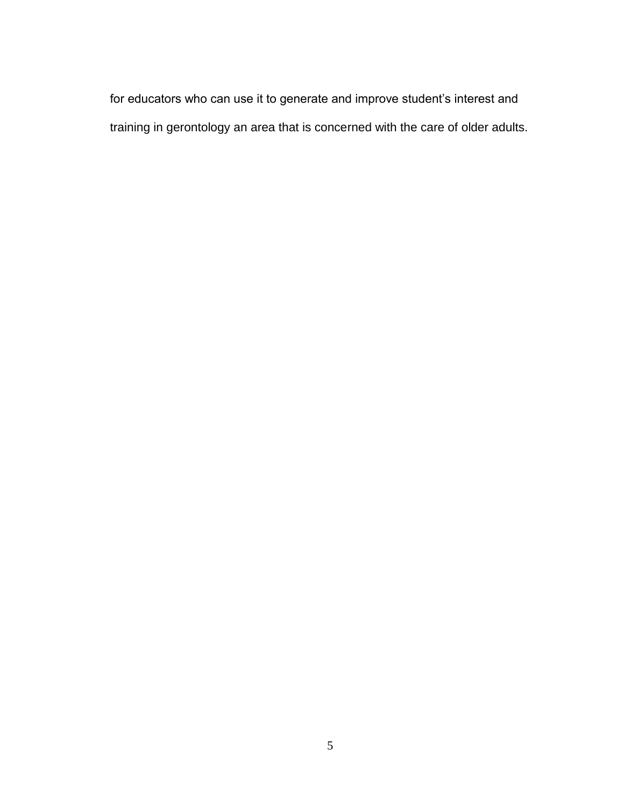for educators who can use it to generate and improve student's interest and training in gerontology an area that is concerned with the care of older adults.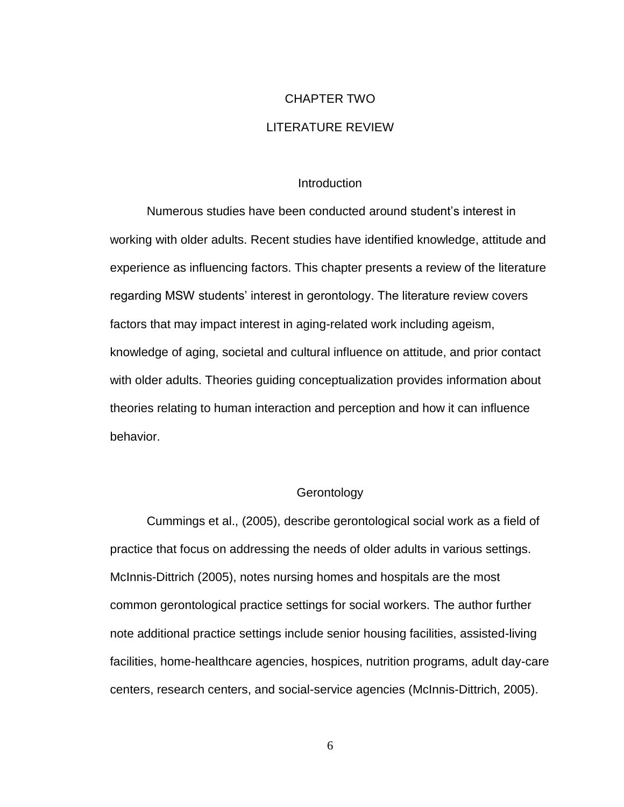# CHAPTER TWO LITERATURE REVIEW

#### **Introduction**

<span id="page-16-1"></span><span id="page-16-0"></span>Numerous studies have been conducted around student's interest in working with older adults. Recent studies have identified knowledge, attitude and experience as influencing factors. This chapter presents a review of the literature regarding MSW students' interest in gerontology. The literature review covers factors that may impact interest in aging-related work including ageism, knowledge of aging, societal and cultural influence on attitude, and prior contact with older adults. Theories guiding conceptualization provides information about theories relating to human interaction and perception and how it can influence behavior.

## **Gerontology**

Cummings et al., (2005), describe gerontological social work as a field of practice that focus on addressing the needs of older adults in various settings. McInnis-Dittrich (2005), notes nursing homes and hospitals are the most common gerontological practice settings for social workers. The author further note additional practice settings include senior housing facilities, assisted-living facilities, home-healthcare agencies, hospices, nutrition programs, adult day-care centers, research centers, and social-service agencies (McInnis-Dittrich, 2005).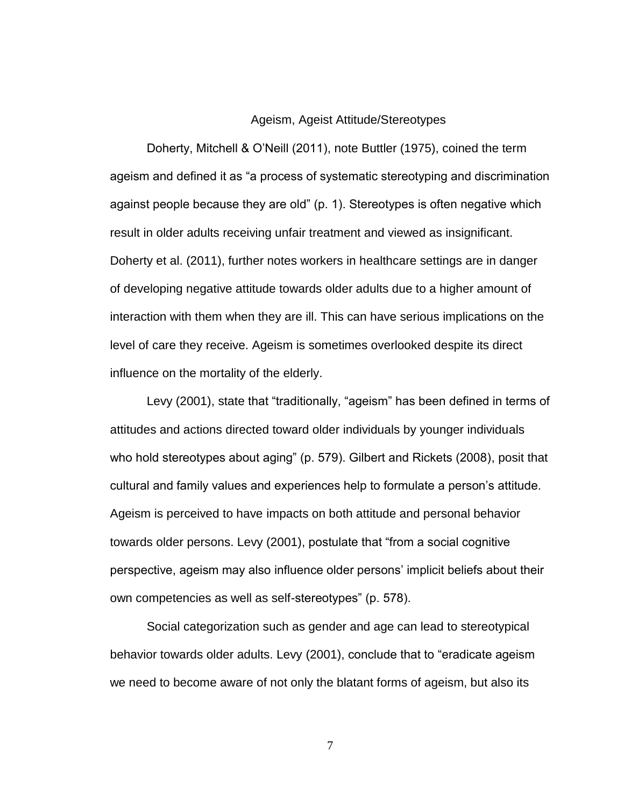#### Ageism, Ageist Attitude/Stereotypes

Doherty, Mitchell & O'Neill (2011), note Buttler (1975), coined the term ageism and defined it as "a process of systematic stereotyping and discrimination against people because they are old" (p. 1). Stereotypes is often negative which result in older adults receiving unfair treatment and viewed as insignificant. Doherty et al. (2011), further notes workers in healthcare settings are in danger of developing negative attitude towards older adults due to a higher amount of interaction with them when they are ill. This can have serious implications on the level of care they receive. Ageism is sometimes overlooked despite its direct influence on the mortality of the elderly.

Levy (2001), state that "traditionally, "ageism" has been defined in terms of attitudes and actions directed toward older individuals by younger individuals who hold stereotypes about aging" (p. 579). Gilbert and Rickets (2008), posit that cultural and family values and experiences help to formulate a person's attitude. Ageism is perceived to have impacts on both attitude and personal behavior towards older persons. Levy (2001), postulate that "from a social cognitive perspective, ageism may also influence older persons' implicit beliefs about their own competencies as well as self-stereotypes" (p. 578).

Social categorization such as gender and age can lead to stereotypical behavior towards older adults. Levy (2001), conclude that to "eradicate ageism we need to become aware of not only the blatant forms of ageism, but also its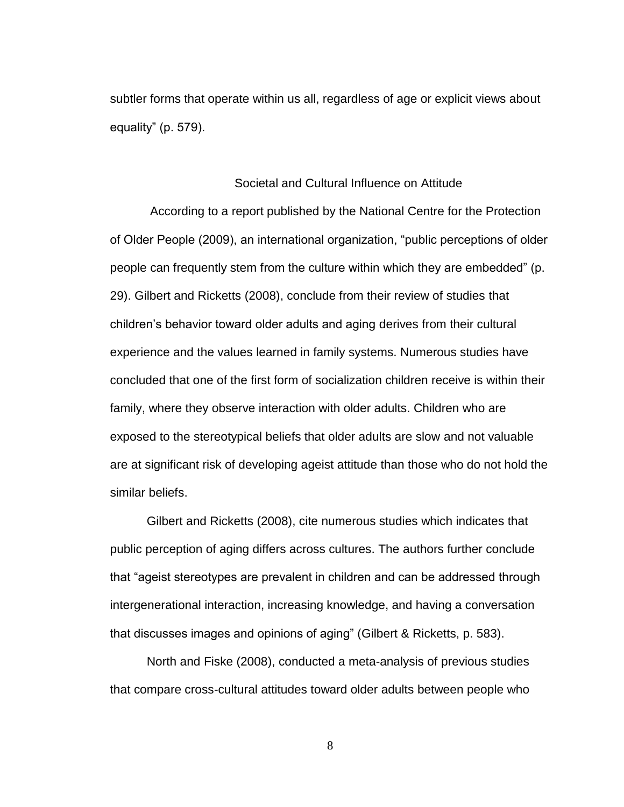subtler forms that operate within us all, regardless of age or explicit views about equality" (p. 579).

#### Societal and Cultural Influence on Attitude

According to a report published by the National Centre for the Protection of Older People (2009), an international organization, "public perceptions of older people can frequently stem from the culture within which they are embedded" (p. 29). Gilbert and Ricketts (2008), conclude from their review of studies that children's behavior toward older adults and aging derives from their cultural experience and the values learned in family systems. Numerous studies have concluded that one of the first form of socialization children receive is within their family, where they observe interaction with older adults. Children who are exposed to the stereotypical beliefs that older adults are slow and not valuable are at significant risk of developing ageist attitude than those who do not hold the similar beliefs.

Gilbert and Ricketts (2008), cite numerous studies which indicates that public perception of aging differs across cultures. The authors further conclude that "ageist stereotypes are prevalent in children and can be addressed through intergenerational interaction, increasing knowledge, and having a conversation that discusses images and opinions of aging" (Gilbert & Ricketts, p. 583).

North and Fiske (2008), conducted a meta-analysis of previous studies that compare cross-cultural attitudes toward older adults between people who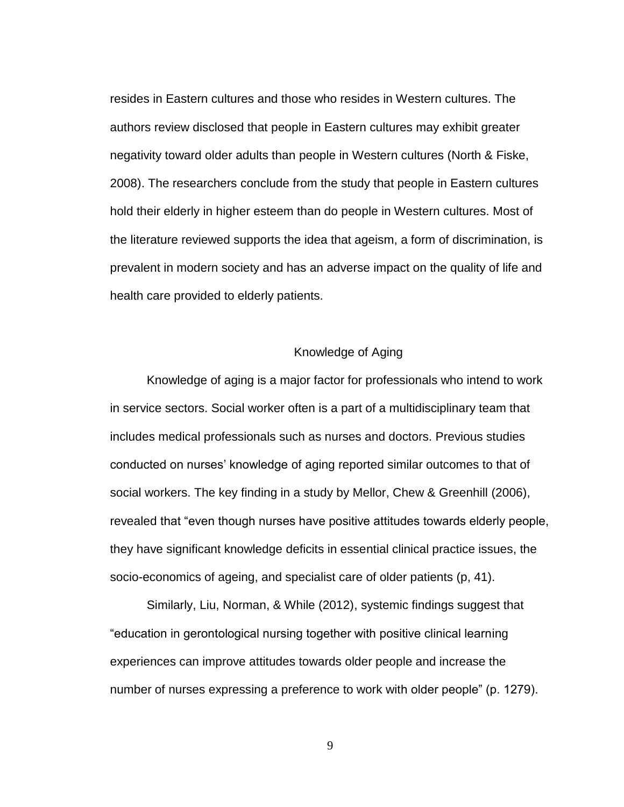resides in Eastern cultures and those who resides in Western cultures. The authors review disclosed that people in Eastern cultures may exhibit greater negativity toward older adults than people in Western cultures (North & Fiske, 2008). The researchers conclude from the study that people in Eastern cultures hold their elderly in higher esteem than do people in Western cultures. Most of the literature reviewed supports the idea that ageism, a form of discrimination, is prevalent in modern society and has an adverse impact on the quality of life and health care provided to elderly patients.

## Knowledge of Aging

Knowledge of aging is a major factor for professionals who intend to work in service sectors. Social worker often is a part of a multidisciplinary team that includes medical professionals such as nurses and doctors. Previous studies conducted on nurses' knowledge of aging reported similar outcomes to that of social workers. The key finding in a study by Mellor, Chew & Greenhill (2006), revealed that "even though nurses have positive attitudes towards elderly people, they have significant knowledge deficits in essential clinical practice issues, the socio-economics of ageing, and specialist care of older patients (p, 41).

Similarly, Liu, Norman, & While (2012), systemic findings suggest that "education in gerontological nursing together with positive clinical learning experiences can improve attitudes towards older people and increase the number of nurses expressing a preference to work with older people" (p. 1279).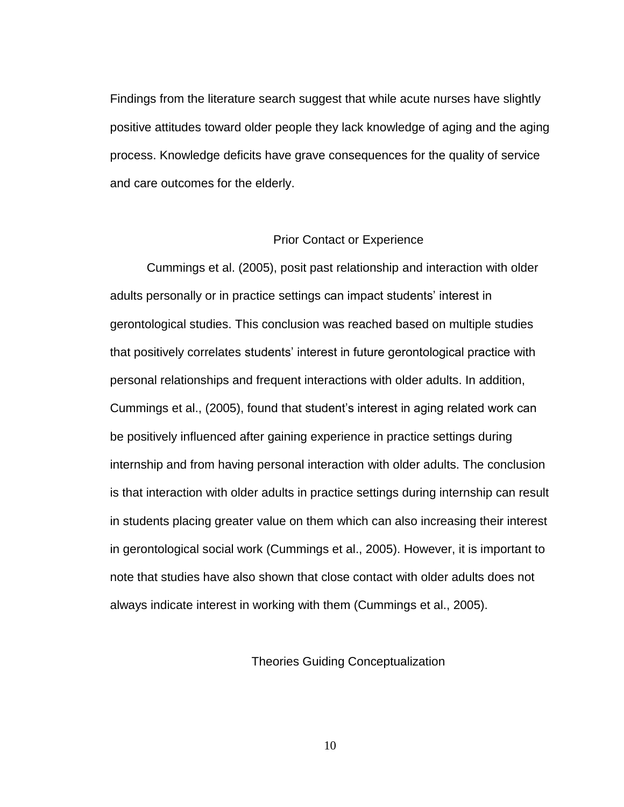Findings from the literature search suggest that while acute nurses have slightly positive attitudes toward older people they lack knowledge of aging and the aging process. Knowledge deficits have grave consequences for the quality of service and care outcomes for the elderly.

### Prior Contact or Experience

Cummings et al. (2005), posit past relationship and interaction with older adults personally or in practice settings can impact students' interest in gerontological studies. This conclusion was reached based on multiple studies that positively correlates students' interest in future gerontological practice with personal relationships and frequent interactions with older adults. In addition, Cummings et al., (2005), found that student's interest in aging related work can be positively influenced after gaining experience in practice settings during internship and from having personal interaction with older adults. The conclusion is that interaction with older adults in practice settings during internship can result in students placing greater value on them which can also increasing their interest in gerontological social work (Cummings et al., 2005). However, it is important to note that studies have also shown that close contact with older adults does not always indicate interest in working with them (Cummings et al., 2005).

Theories Guiding Conceptualization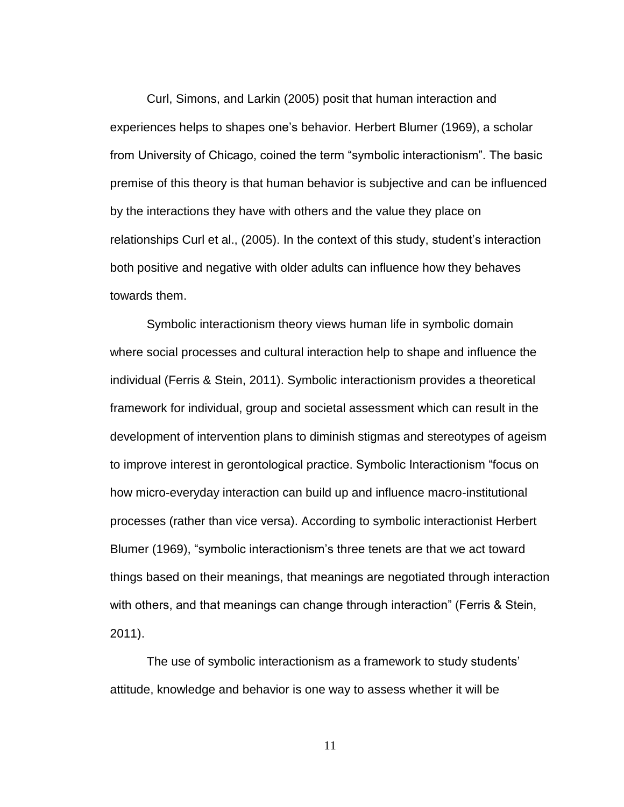Curl, Simons, and Larkin (2005) posit that human interaction and experiences helps to shapes one's behavior. Herbert Blumer (1969), a scholar from University of Chicago, coined the term "symbolic interactionism". The basic premise of this theory is that human behavior is subjective and can be influenced by the interactions they have with others and the value they place on relationships Curl et al., (2005). In the context of this study, student's interaction both positive and negative with older adults can influence how they behaves towards them.

Symbolic interactionism theory views human life in symbolic domain where social processes and cultural interaction help to shape and influence the individual (Ferris & Stein, 2011). Symbolic interactionism provides a theoretical framework for individual, group and societal assessment which can result in the development of intervention plans to diminish stigmas and stereotypes of ageism to improve interest in gerontological practice. Symbolic Interactionism "focus on how micro-everyday interaction can build up and influence macro-institutional processes (rather than vice versa). According to symbolic interactionist Herbert Blumer (1969), "symbolic interactionism's three tenets are that we act toward things based on their meanings, that meanings are negotiated through interaction with others, and that meanings can change through interaction" (Ferris & Stein, 2011).

The use of symbolic interactionism as a framework to study students' attitude, knowledge and behavior is one way to assess whether it will be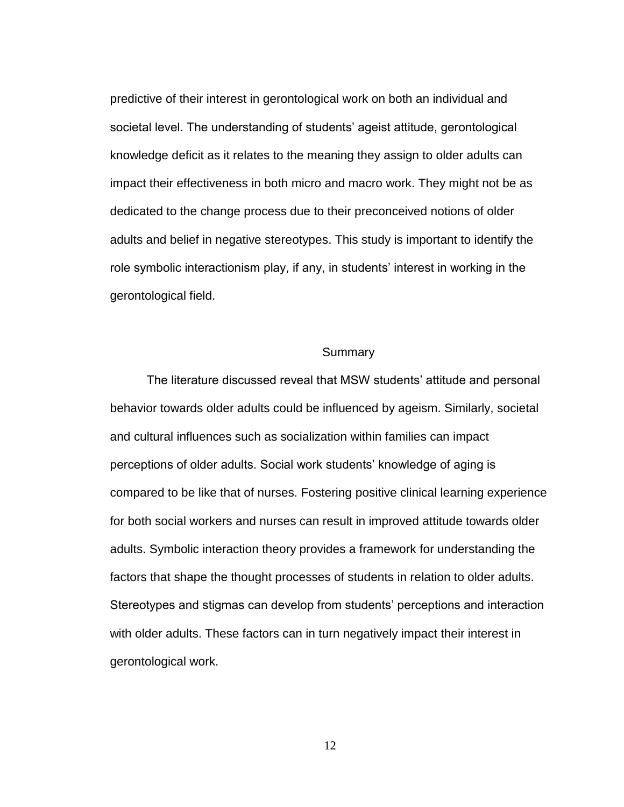predictive of their interest in gerontological work on both an individual and societal level. The understanding of students' ageist attitude, gerontological knowledge deficit as it relates to the meaning they assign to older adults can impact their effectiveness in both micro and macro work. They might not be as dedicated to the change process due to their preconceived notions of older adults and belief in negative stereotypes. This study is important to identify the role symbolic interactionism play, if any, in students' interest in working in the gerontological field.

## Summary

The literature discussed reveal that MSW students' attitude and personal behavior towards older adults could be influenced by ageism. Similarly, societal and cultural influences such as socialization within families can impact perceptions of older adults. Social work students' knowledge of aging is compared to be like that of nurses. Fostering positive clinical learning experience for both social workers and nurses can result in improved attitude towards older adults. Symbolic interaction theory provides a framework for understanding the factors that shape the thought processes of students in relation to older adults. Stereotypes and stigmas can develop from students' perceptions and interaction with older adults. These factors can in turn negatively impact their interest in gerontological work.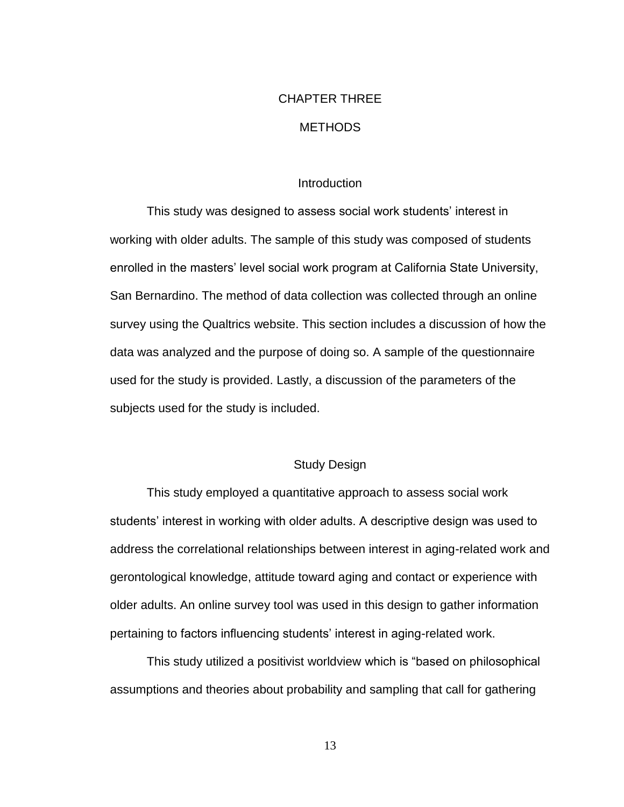## CHAPTER THREE **METHODS**

## **Introduction**

This study was designed to assess social work students' interest in working with older adults. The sample of this study was composed of students enrolled in the masters' level social work program at California State University, San Bernardino. The method of data collection was collected through an online survey using the Qualtrics website. This section includes a discussion of how the data was analyzed and the purpose of doing so. A sample of the questionnaire used for the study is provided. Lastly, a discussion of the parameters of the subjects used for the study is included.

## Study Design

This study employed a quantitative approach to assess social work students' interest in working with older adults. A descriptive design was used to address the correlational relationships between interest in aging-related work and gerontological knowledge, attitude toward aging and contact or experience with older adults. An online survey tool was used in this design to gather information pertaining to factors influencing students' interest in aging-related work.

This study utilized a positivist worldview which is "based on philosophical assumptions and theories about probability and sampling that call for gathering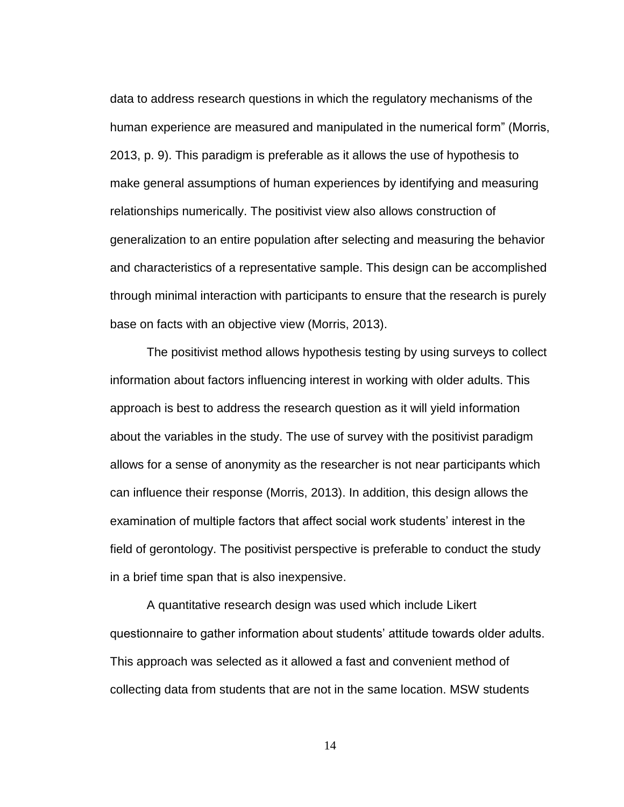data to address research questions in which the regulatory mechanisms of the human experience are measured and manipulated in the numerical form" (Morris, 2013, p. 9). This paradigm is preferable as it allows the use of hypothesis to make general assumptions of human experiences by identifying and measuring relationships numerically. The positivist view also allows construction of generalization to an entire population after selecting and measuring the behavior and characteristics of a representative sample. This design can be accomplished through minimal interaction with participants to ensure that the research is purely base on facts with an objective view (Morris, 2013).

The positivist method allows hypothesis testing by using surveys to collect information about factors influencing interest in working with older adults. This approach is best to address the research question as it will yield information about the variables in the study. The use of survey with the positivist paradigm allows for a sense of anonymity as the researcher is not near participants which can influence their response (Morris, 2013). In addition, this design allows the examination of multiple factors that affect social work students' interest in the field of gerontology. The positivist perspective is preferable to conduct the study in a brief time span that is also inexpensive.

A quantitative research design was used which include Likert questionnaire to gather information about students' attitude towards older adults. This approach was selected as it allowed a fast and convenient method of collecting data from students that are not in the same location. MSW students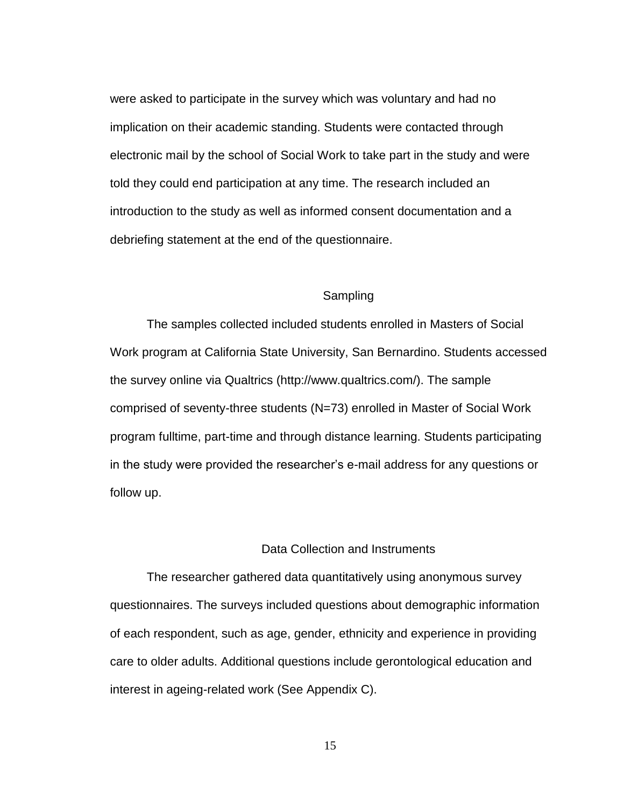were asked to participate in the survey which was voluntary and had no implication on their academic standing. Students were contacted through electronic mail by the school of Social Work to take part in the study and were told they could end participation at any time. The research included an introduction to the study as well as informed consent documentation and a debriefing statement at the end of the questionnaire.

## Sampling

The samples collected included students enrolled in Masters of Social Work program at California State University, San Bernardino. Students accessed the survey online via Qualtrics (http://www.qualtrics.com/). The sample comprised of seventy-three students (N=73) enrolled in Master of Social Work program fulltime, part-time and through distance learning. Students participating in the study were provided the researcher's e-mail address for any questions or follow up.

## Data Collection and Instruments

The researcher gathered data quantitatively using anonymous survey questionnaires. The surveys included questions about demographic information of each respondent, such as age, gender, ethnicity and experience in providing care to older adults. Additional questions include gerontological education and interest in ageing-related work (See Appendix C).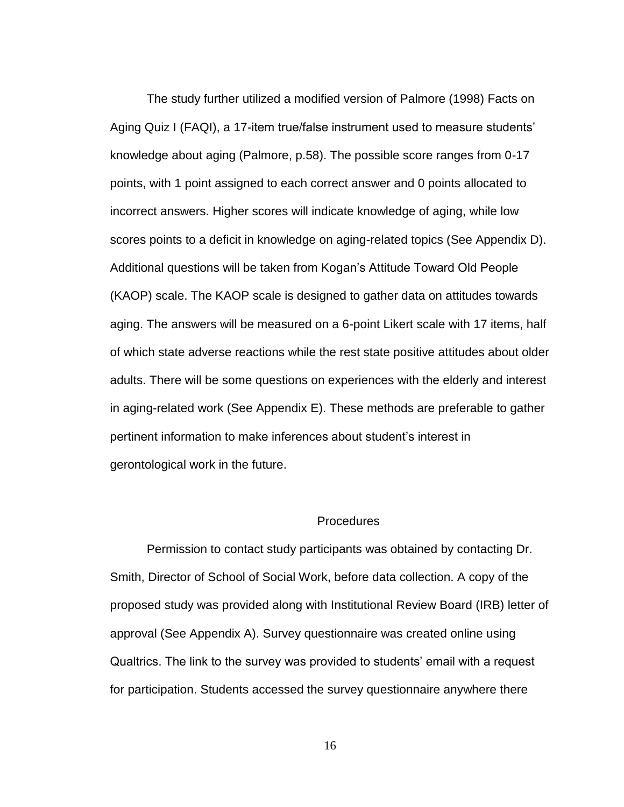The study further utilized a modified version of Palmore (1998) Facts on Aging Quiz I (FAQI), a 17-item true/false instrument used to measure students' knowledge about aging (Palmore, p.58). The possible score ranges from 0-17 points, with 1 point assigned to each correct answer and 0 points allocated to incorrect answers. Higher scores will indicate knowledge of aging, while low scores points to a deficit in knowledge on aging-related topics (See Appendix D). Additional questions will be taken from Kogan's Attitude Toward Old People (KAOP) scale. The KAOP scale is designed to gather data on attitudes towards aging. The answers will be measured on a 6-point Likert scale with 17 items, half of which state adverse reactions while the rest state positive attitudes about older adults. There will be some questions on experiences with the elderly and interest in aging-related work (See Appendix E). These methods are preferable to gather pertinent information to make inferences about student's interest in gerontological work in the future.

## **Procedures**

Permission to contact study participants was obtained by contacting Dr. Smith, Director of School of Social Work, before data collection. A copy of the proposed study was provided along with Institutional Review Board (IRB) letter of approval (See Appendix A). Survey questionnaire was created online using Qualtrics. The link to the survey was provided to students' email with a request for participation. Students accessed the survey questionnaire anywhere there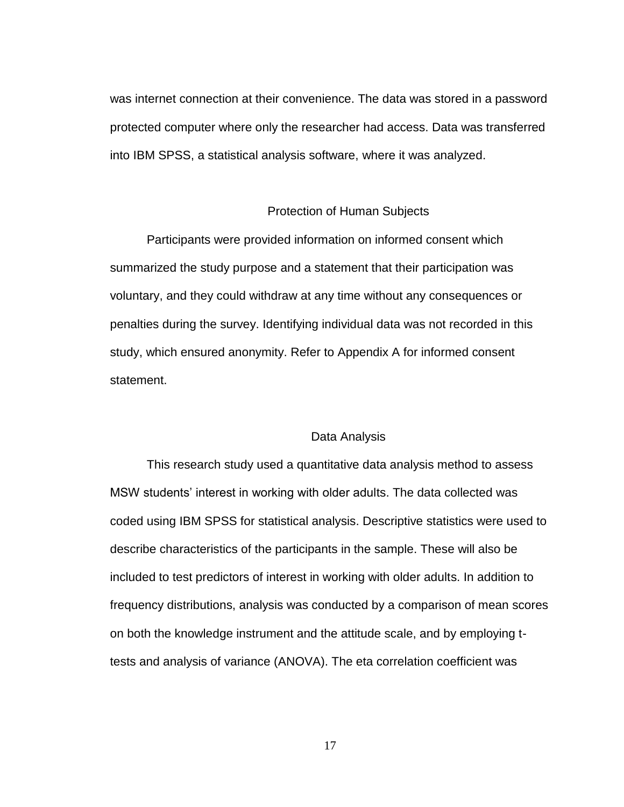was internet connection at their convenience. The data was stored in a password protected computer where only the researcher had access. Data was transferred into IBM SPSS, a statistical analysis software, where it was analyzed.

#### Protection of Human Subjects

Participants were provided information on informed consent which summarized the study purpose and a statement that their participation was voluntary, and they could withdraw at any time without any consequences or penalties during the survey. Identifying individual data was not recorded in this study, which ensured anonymity. Refer to Appendix A for informed consent statement.

## Data Analysis

This research study used a quantitative data analysis method to assess MSW students' interest in working with older adults. The data collected was coded using IBM SPSS for statistical analysis. Descriptive statistics were used to describe characteristics of the participants in the sample. These will also be included to test predictors of interest in working with older adults. In addition to frequency distributions, analysis was conducted by a comparison of mean scores on both the knowledge instrument and the attitude scale, and by employing ttests and analysis of variance (ANOVA). The eta correlation coefficient was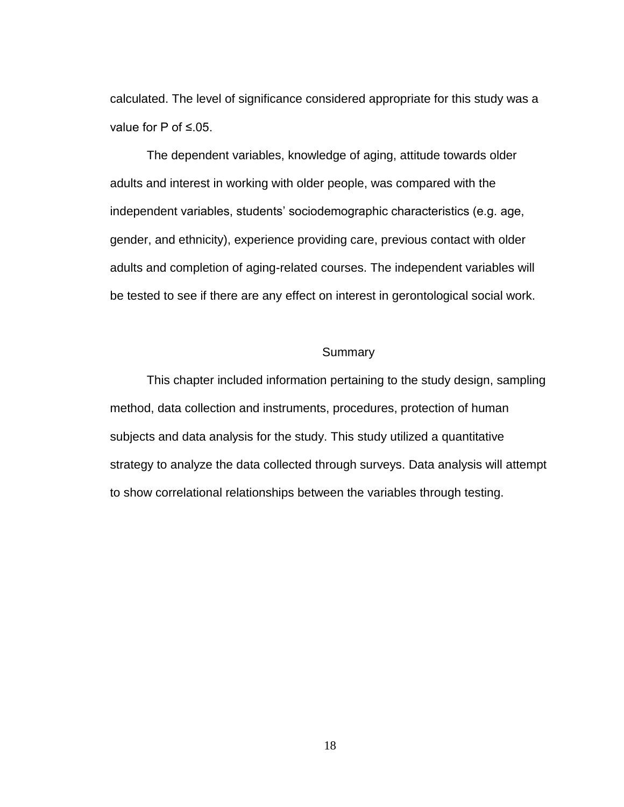calculated. The level of significance considered appropriate for this study was a value for P of ≤.05.

The dependent variables, knowledge of aging, attitude towards older adults and interest in working with older people, was compared with the independent variables, students' sociodemographic characteristics (e.g. age, gender, and ethnicity), experience providing care, previous contact with older adults and completion of aging-related courses. The independent variables will be tested to see if there are any effect on interest in gerontological social work.

## Summary

This chapter included information pertaining to the study design, sampling method, data collection and instruments, procedures, protection of human subjects and data analysis for the study. This study utilized a quantitative strategy to analyze the data collected through surveys. Data analysis will attempt to show correlational relationships between the variables through testing.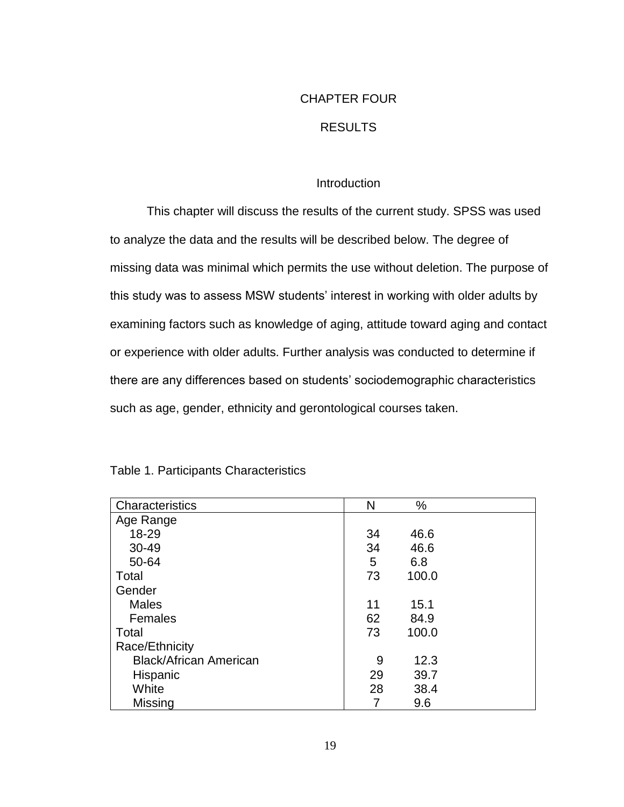## CHAPTER FOUR

## RESULTS

## Introduction

This chapter will discuss the results of the current study. SPSS was used to analyze the data and the results will be described below. The degree of missing data was minimal which permits the use without deletion. The purpose of this study was to assess MSW students' interest in working with older adults by examining factors such as knowledge of aging, attitude toward aging and contact or experience with older adults. Further analysis was conducted to determine if there are any differences based on students' sociodemographic characteristics such as age, gender, ethnicity and gerontological courses taken.

| Characteristics               | N  | %     |  |
|-------------------------------|----|-------|--|
| Age Range                     |    |       |  |
| 18-29                         | 34 | 46.6  |  |
| 30-49                         | 34 | 46.6  |  |
| 50-64                         | 5  | 6.8   |  |
| Total                         | 73 | 100.0 |  |
| Gender                        |    |       |  |
| <b>Males</b>                  | 11 | 15.1  |  |
| Females                       | 62 | 84.9  |  |
| Total                         | 73 | 100.0 |  |
| Race/Ethnicity                |    |       |  |
| <b>Black/African American</b> | 9  | 12.3  |  |
| Hispanic                      | 29 | 39.7  |  |
| White                         | 28 | 38.4  |  |
| Missing                       |    | 9.6   |  |

## Table 1. Participants Characteristics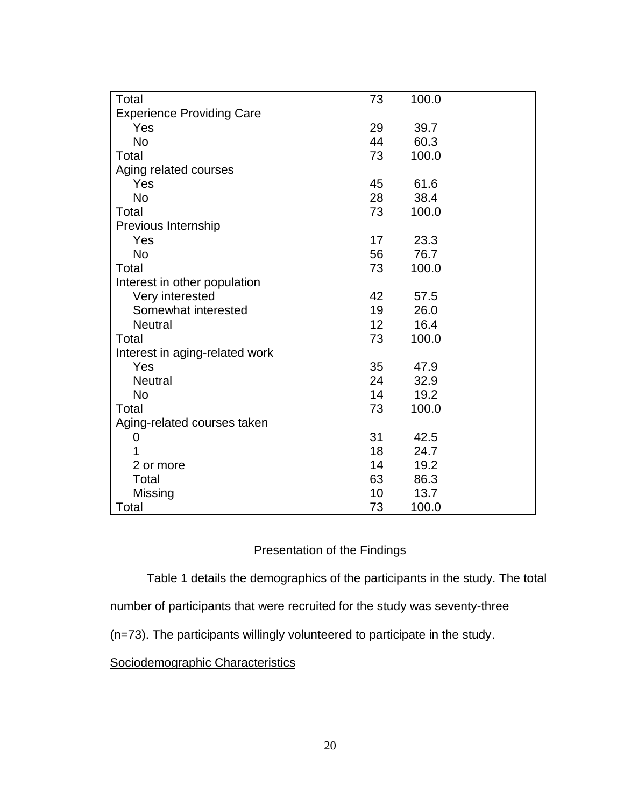| Total                            | 73              | 100.0 |
|----------------------------------|-----------------|-------|
| <b>Experience Providing Care</b> |                 |       |
| Yes                              | 29              | 39.7  |
| <b>No</b>                        | 44              | 60.3  |
| Total                            | 73              | 100.0 |
| Aging related courses            |                 |       |
| Yes                              | 45              | 61.6  |
| <b>No</b>                        | 28              | 38.4  |
| Total                            | 73              | 100.0 |
| Previous Internship              |                 |       |
| Yes                              | 17              | 23.3  |
| <b>No</b>                        | 56              | 76.7  |
| Total                            | 73              | 100.0 |
| Interest in other population     |                 |       |
| Very interested                  | 42              | 57.5  |
| Somewhat interested              | 19              | 26.0  |
| <b>Neutral</b>                   | 12 <sub>2</sub> | 16.4  |
| Total                            | 73              | 100.0 |
| Interest in aging-related work   |                 |       |
| Yes                              | 35              | 47.9  |
| <b>Neutral</b>                   | 24              | 32.9  |
| <b>No</b>                        | 14              | 19.2  |
| Total                            | 73              | 100.0 |
| Aging-related courses taken      |                 |       |
| 0                                | 31              | 42.5  |
|                                  | 18              | 24.7  |
| 2 or more                        | 14              | 19.2  |
| Total                            | 63              | 86.3  |
| Missing                          | 10              | 13.7  |
| Total                            | 73              | 100.0 |

## Presentation of the Findings

Table 1 details the demographics of the participants in the study. The total

number of participants that were recruited for the study was seventy-three

(n=73). The participants willingly volunteered to participate in the study.

Sociodemographic Characteristics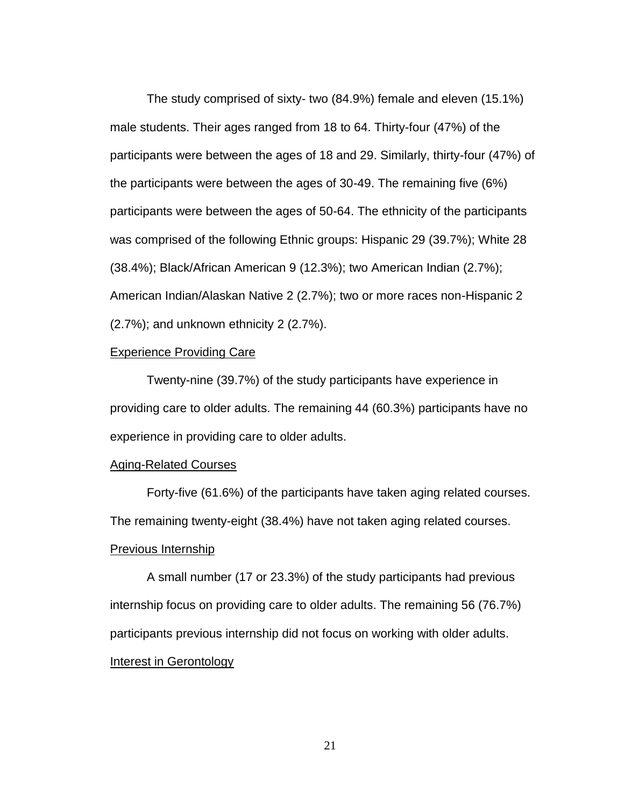The study comprised of sixty- two (84.9%) female and eleven (15.1%) male students. Their ages ranged from 18 to 64. Thirty-four (47%) of the participants were between the ages of 18 and 29. Similarly, thirty-four (47%) of the participants were between the ages of 30-49. The remaining five (6%) participants were between the ages of 50-64. The ethnicity of the participants was comprised of the following Ethnic groups: Hispanic 29 (39.7%); White 28 (38.4%); Black/African American 9 (12.3%); two American Indian (2.7%); American Indian/Alaskan Native 2 (2.7%); two or more races non-Hispanic 2 (2.7%); and unknown ethnicity 2 (2.7%).

## **Experience Providing Care**

Twenty-nine (39.7%) of the study participants have experience in providing care to older adults. The remaining 44 (60.3%) participants have no experience in providing care to older adults.

#### Aging-Related Courses

Forty-five (61.6%) of the participants have taken aging related courses. The remaining twenty-eight (38.4%) have not taken aging related courses. Previous Internship

A small number (17 or 23.3%) of the study participants had previous internship focus on providing care to older adults. The remaining 56 (76.7%) participants previous internship did not focus on working with older adults. Interest in Gerontology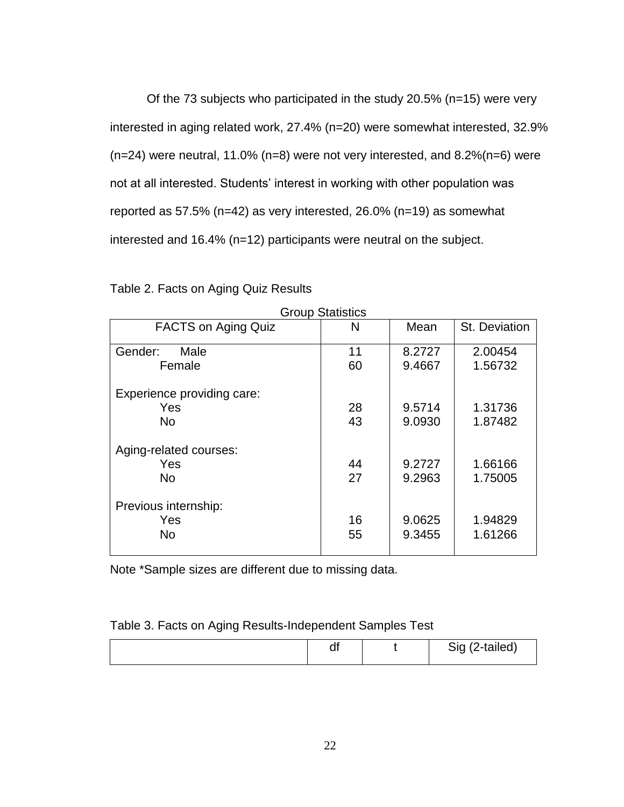Of the 73 subjects who participated in the study 20.5% (n=15) were very interested in aging related work, 27.4% (n=20) were somewhat interested, 32.9% (n=24) were neutral, 11.0% (n=8) were not very interested, and 8.2%(n=6) were not at all interested. Students' interest in working with other population was reported as 57.5% (n=42) as very interested, 26.0% (n=19) as somewhat interested and 16.4% (n=12) participants were neutral on the subject.

|                            | Group Statistics |        |               |
|----------------------------|------------------|--------|---------------|
| <b>FACTS on Aging Quiz</b> | N                | Mean   | St. Deviation |
| Gender:<br>Male            | 11               | 8.2727 | 2.00454       |
| Female                     | 60               | 9.4667 | 1.56732       |
| Experience providing care: |                  |        |               |
| Yes                        | 28               | 9.5714 | 1.31736       |
| <b>No</b>                  | 43               | 9.0930 | 1.87482       |
| Aging-related courses:     |                  |        |               |
| Yes                        | 44               | 9.2727 | 1.66166       |
| <b>No</b>                  | 27               | 9.2963 | 1.75005       |
| Previous internship:       |                  |        |               |
| Yes                        | 16               | 9.0625 | 1.94829       |
| <b>No</b>                  | 55               | 9.3455 | 1.61266       |

Table 2. Facts on Aging Quiz Results

Group Statistics

Note \*Sample sizes are different due to missing data.

| Table 3. Facts on Aging Results-Independent Samples Test |  |  |  |  |
|----------------------------------------------------------|--|--|--|--|
|----------------------------------------------------------|--|--|--|--|

|  | u. |  | Sig (2-tailed) |
|--|----|--|----------------|
|--|----|--|----------------|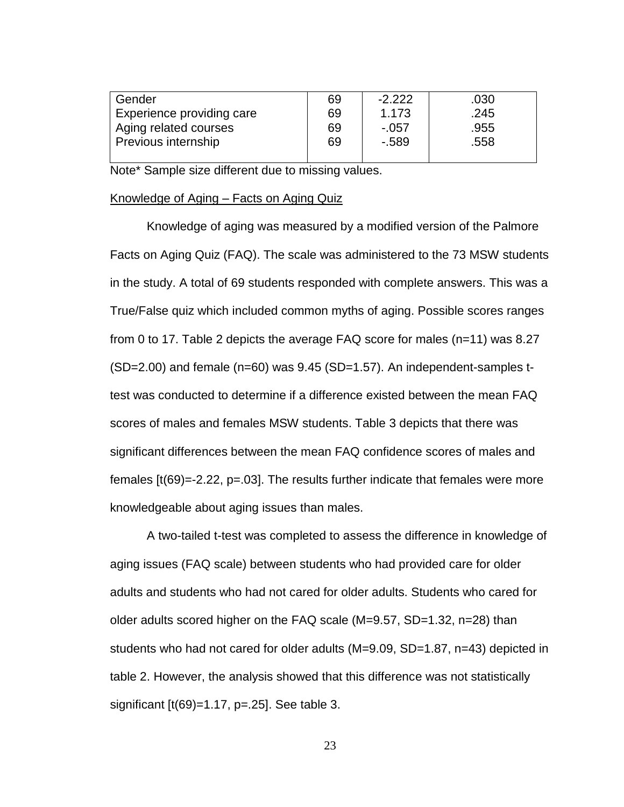| Gender                     | 69 | $-2.222$ | .030 |
|----------------------------|----|----------|------|
| Experience providing care  | 69 | 1.173    | .245 |
| Aging related courses      | 69 | $-.057$  | .955 |
| <b>Previous internship</b> | 69 | $-0.589$ | .558 |
|                            |    |          |      |

Note\* Sample size different due to missing values.

#### Knowledge of Aging – Facts on Aging Quiz

Knowledge of aging was measured by a modified version of the Palmore Facts on Aging Quiz (FAQ). The scale was administered to the 73 MSW students in the study. A total of 69 students responded with complete answers. This was a True/False quiz which included common myths of aging. Possible scores ranges from 0 to 17. Table 2 depicts the average FAQ score for males (n=11) was 8.27 (SD=2.00) and female (n=60) was 9.45 (SD=1.57). An independent-samples ttest was conducted to determine if a difference existed between the mean FAQ scores of males and females MSW students. Table 3 depicts that there was significant differences between the mean FAQ confidence scores of males and females [t(69)=-2.22, p=.03]. The results further indicate that females were more knowledgeable about aging issues than males.

A two-tailed t-test was completed to assess the difference in knowledge of aging issues (FAQ scale) between students who had provided care for older adults and students who had not cared for older adults. Students who cared for older adults scored higher on the FAQ scale (M=9.57, SD=1.32, n=28) than students who had not cared for older adults (M=9.09, SD=1.87, n=43) depicted in table 2. However, the analysis showed that this difference was not statistically significant [t(69)=1.17, p=.25]. See table 3.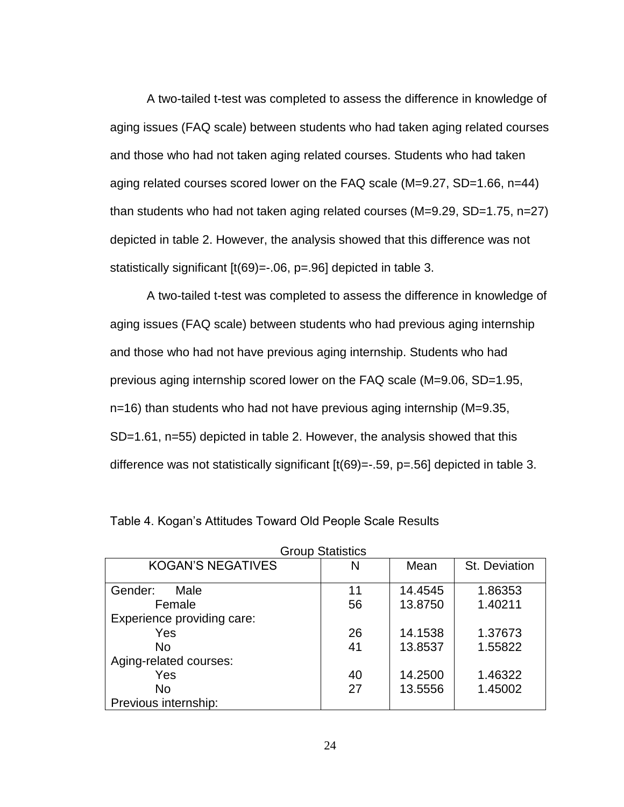A two-tailed t-test was completed to assess the difference in knowledge of aging issues (FAQ scale) between students who had taken aging related courses and those who had not taken aging related courses. Students who had taken aging related courses scored lower on the FAQ scale (M=9.27, SD=1.66, n=44) than students who had not taken aging related courses (M=9.29, SD=1.75, n=27) depicted in table 2. However, the analysis showed that this difference was not statistically significant [t(69)=-.06, p=.96] depicted in table 3.

A two-tailed t-test was completed to assess the difference in knowledge of aging issues (FAQ scale) between students who had previous aging internship and those who had not have previous aging internship. Students who had previous aging internship scored lower on the FAQ scale (M=9.06, SD=1.95, n=16) than students who had not have previous aging internship (M=9.35, SD=1.61, n=55) depicted in table 2. However, the analysis showed that this difference was not statistically significant [t(69)=-.59, p=.56] depicted in table 3.

| <b>Group Statistics</b>    |    |         |               |  |
|----------------------------|----|---------|---------------|--|
| <b>KOGAN'S NEGATIVES</b>   | N  | Mean    | St. Deviation |  |
| Gender:<br>Male            | 11 | 14.4545 | 1.86353       |  |
| Female                     | 56 | 13.8750 | 1.40211       |  |
| Experience providing care: |    |         |               |  |
| Yes                        | 26 | 14.1538 | 1.37673       |  |
| <b>No</b>                  | 41 | 13.8537 | 1.55822       |  |
| Aging-related courses:     |    |         |               |  |
| Yes                        | 40 | 14.2500 | 1.46322       |  |
| No                         | 27 | 13.5556 | 1.45002       |  |
| Previous internship:       |    |         |               |  |

|  | Table 4. Kogan's Attitudes Toward Old People Scale Results |
|--|------------------------------------------------------------|
|--|------------------------------------------------------------|

24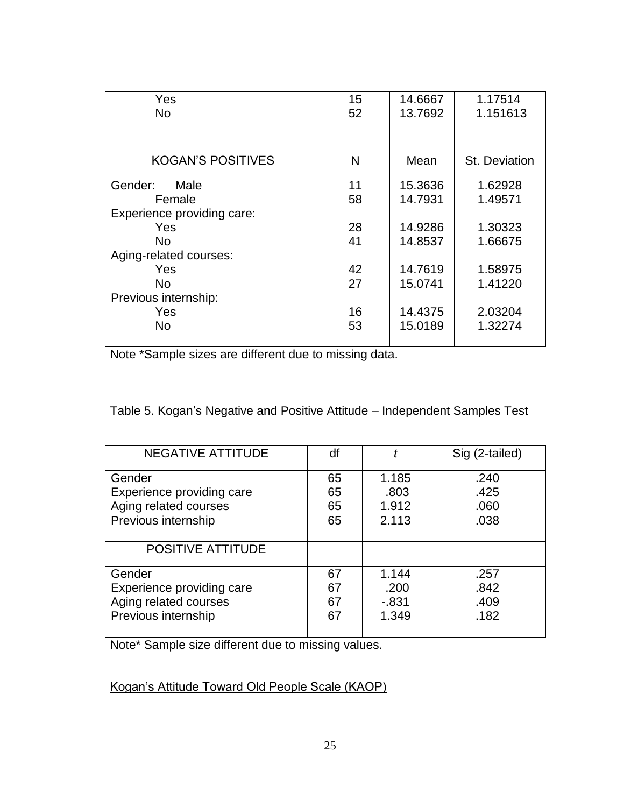|    |                | 1.17514            |
|----|----------------|--------------------|
|    |                | 1.151613           |
|    |                |                    |
|    |                |                    |
| N  | Mean           | St. Deviation      |
|    |                |                    |
| 11 | 15.3636        | 1.62928            |
| 58 | 14.7931        | 1.49571            |
|    |                |                    |
| 28 | 14.9286        | 1.30323            |
| 41 | 14.8537        | 1.66675            |
|    |                |                    |
| 42 | 14.7619        | 1.58975            |
| 27 | 15.0741        | 1.41220            |
|    |                |                    |
| 16 | 14.4375        | 2.03204            |
|    | 15.0189        | 1.32274            |
|    |                |                    |
|    | 15<br>52<br>53 | 14.6667<br>13.7692 |

Note \*Sample sizes are different due to missing data.

Table 5. Kogan's Negative and Positive Attitude – Independent Samples Test

| NEGATIVE ATTITUDE         | df |          | Sig (2-tailed) |
|---------------------------|----|----------|----------------|
| Gender                    | 65 | 1.185    | .240           |
| Experience providing care | 65 | .803     | .425           |
| Aging related courses     | 65 | 1.912    | .060           |
| Previous internship       | 65 | 2.113    | .038           |
| POSITIVE ATTITUDE         |    |          |                |
| Gender                    | 67 | 1.144    | .257           |
| Experience providing care | 67 | .200     | .842           |
| Aging related courses     | 67 | $-0.831$ | .409           |
| Previous internship       | 67 | 1.349    | .182           |

Note\* Sample size different due to missing values.

Kogan's Attitude Toward Old People Scale (KAOP)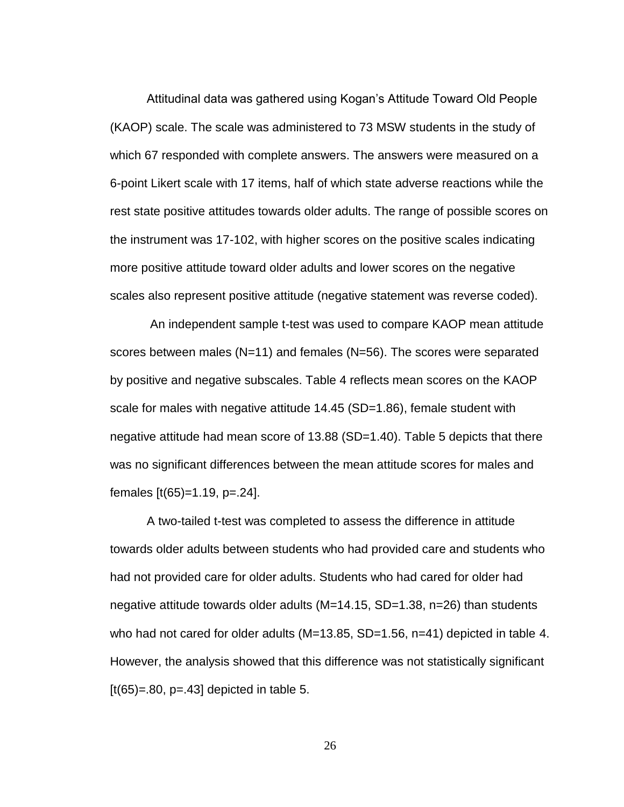Attitudinal data was gathered using Kogan's Attitude Toward Old People (KAOP) scale. The scale was administered to 73 MSW students in the study of which 67 responded with complete answers. The answers were measured on a 6-point Likert scale with 17 items, half of which state adverse reactions while the rest state positive attitudes towards older adults. The range of possible scores on the instrument was 17-102, with higher scores on the positive scales indicating more positive attitude toward older adults and lower scores on the negative scales also represent positive attitude (negative statement was reverse coded).

An independent sample t-test was used to compare KAOP mean attitude scores between males (N=11) and females (N=56). The scores were separated by positive and negative subscales. Table 4 reflects mean scores on the KAOP scale for males with negative attitude 14.45 (SD=1.86), female student with negative attitude had mean score of 13.88 (SD=1.40). Table 5 depicts that there was no significant differences between the mean attitude scores for males and females [t(65)=1.19, p=.24].

A two-tailed t-test was completed to assess the difference in attitude towards older adults between students who had provided care and students who had not provided care for older adults. Students who had cared for older had negative attitude towards older adults (M=14.15, SD=1.38, n=26) than students who had not cared for older adults (M=13.85, SD=1.56, n=41) depicted in table 4. However, the analysis showed that this difference was not statistically significant  $[t(65)=.80, p=.43]$  depicted in table 5.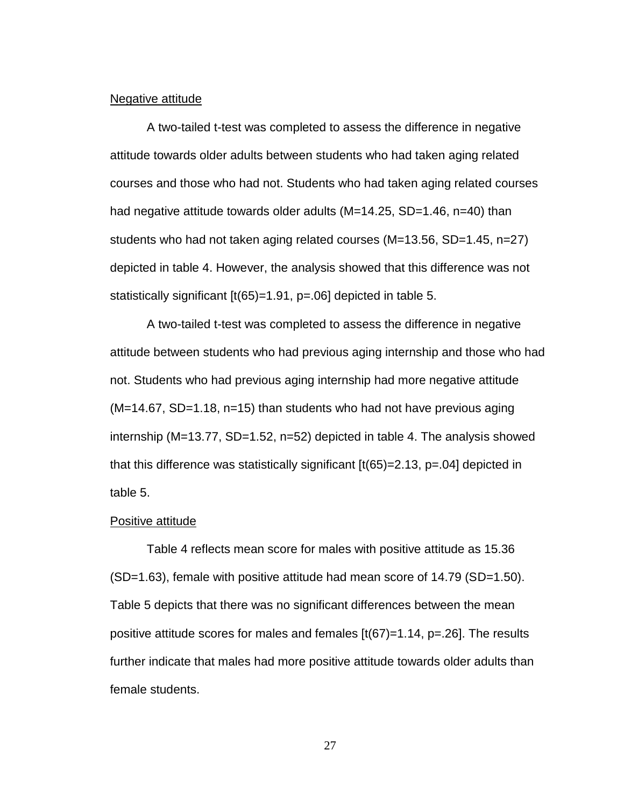#### Negative attitude

A two-tailed t-test was completed to assess the difference in negative attitude towards older adults between students who had taken aging related courses and those who had not. Students who had taken aging related courses had negative attitude towards older adults (M=14.25, SD=1.46, n=40) than students who had not taken aging related courses (M=13.56, SD=1.45, n=27) depicted in table 4. However, the analysis showed that this difference was not statistically significant [t(65)=1.91, p=.06] depicted in table 5.

A two-tailed t-test was completed to assess the difference in negative attitude between students who had previous aging internship and those who had not. Students who had previous aging internship had more negative attitude (M=14.67, SD=1.18, n=15) than students who had not have previous aging internship (M=13.77, SD=1.52, n=52) depicted in table 4. The analysis showed that this difference was statistically significant  $[t(65)=2.13, p=.04]$  depicted in table 5.

#### Positive attitude

Table 4 reflects mean score for males with positive attitude as 15.36 (SD=1.63), female with positive attitude had mean score of 14.79 (SD=1.50). Table 5 depicts that there was no significant differences between the mean positive attitude scores for males and females  $[t(67)=1.14, p=.26]$ . The results further indicate that males had more positive attitude towards older adults than female students.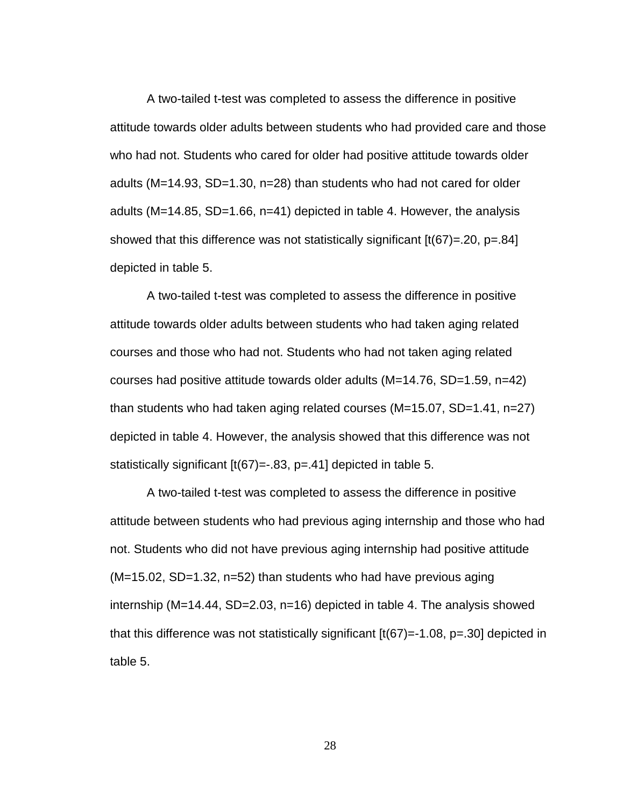A two-tailed t-test was completed to assess the difference in positive attitude towards older adults between students who had provided care and those who had not. Students who cared for older had positive attitude towards older adults (M=14.93, SD=1.30, n=28) than students who had not cared for older adults (M=14.85, SD=1.66, n=41) depicted in table 4. However, the analysis showed that this difference was not statistically significant  $[t(67)=0.20, p=.84]$ depicted in table 5.

A two-tailed t-test was completed to assess the difference in positive attitude towards older adults between students who had taken aging related courses and those who had not. Students who had not taken aging related courses had positive attitude towards older adults (M=14.76, SD=1.59, n=42) than students who had taken aging related courses (M=15.07, SD=1.41, n=27) depicted in table 4. However, the analysis showed that this difference was not statistically significant [t(67)=-.83, p=.41] depicted in table 5.

A two-tailed t-test was completed to assess the difference in positive attitude between students who had previous aging internship and those who had not. Students who did not have previous aging internship had positive attitude (M=15.02, SD=1.32, n=52) than students who had have previous aging internship (M=14.44, SD=2.03, n=16) depicted in table 4. The analysis showed that this difference was not statistically significant  $[t(67)=1.08, p=.30]$  depicted in table 5.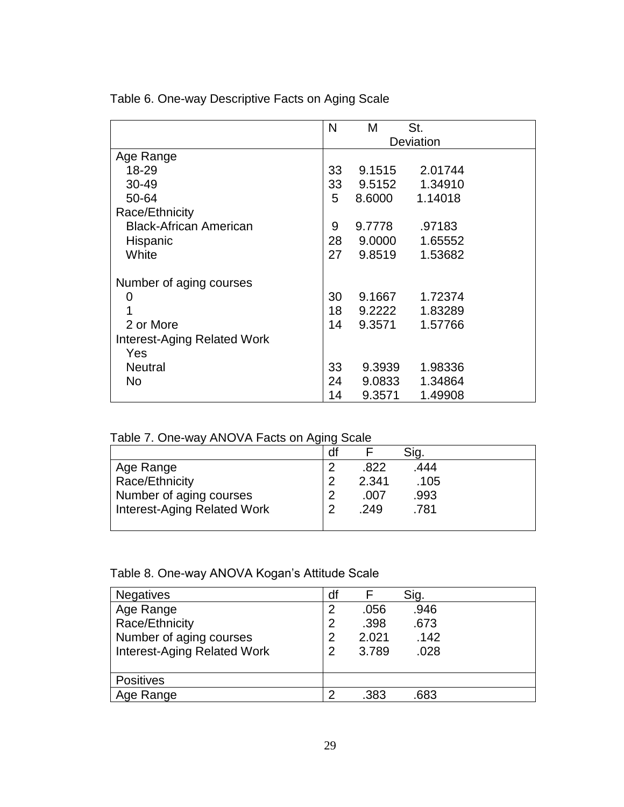|                                    | N         | M      | St.     |  |  |
|------------------------------------|-----------|--------|---------|--|--|
|                                    | Deviation |        |         |  |  |
| Age Range                          |           |        |         |  |  |
| 18-29                              | 33        | 9.1515 | 2.01744 |  |  |
| 30-49                              | 33        | 9.5152 | 1.34910 |  |  |
| 50-64                              | 5         | 8.6000 | 1.14018 |  |  |
| Race/Ethnicity                     |           |        |         |  |  |
| <b>Black-African American</b>      | 9         | 9.7778 | .97183  |  |  |
| Hispanic                           | 28        | 9.0000 | 1.65552 |  |  |
| White                              | 27        | 9.8519 | 1.53682 |  |  |
| Number of aging courses            |           |        |         |  |  |
| 0                                  | 30        | 9.1667 | 1.72374 |  |  |
|                                    | 18        | 9.2222 | 1.83289 |  |  |
| 2 or More                          | 14        | 9.3571 | 1.57766 |  |  |
| <b>Interest-Aging Related Work</b> |           |        |         |  |  |
| Yes                                |           |        |         |  |  |
| <b>Neutral</b>                     | 33        | 9.3939 | 1.98336 |  |  |
| No.                                | 24        | 9.0833 | 1.34864 |  |  |
|                                    | 14        | 9.3571 | 1.49908 |  |  |

Table 6. One-way Descriptive Facts on Aging Scale

| Table 7. One-way ANOVA Facts on Aging Scale |  |  |
|---------------------------------------------|--|--|
|                                             |  |  |

|                                    | df |       | Sig. |  |
|------------------------------------|----|-------|------|--|
| Age Range                          |    | .822  | .444 |  |
| Race/Ethnicity                     |    | 2.341 | .105 |  |
| Number of aging courses            |    | .007  | .993 |  |
| <b>Interest-Aging Related Work</b> |    | .249  | .781 |  |
|                                    |    |       |      |  |

## Table 8. One-way ANOVA Kogan's Attitude Scale

| <b>Negatives</b>                   | df |       | Sig. |  |
|------------------------------------|----|-------|------|--|
| Age Range                          |    | .056  | .946 |  |
| Race/Ethnicity                     |    | .398  | .673 |  |
| Number of aging courses            | 2  | 2.021 | .142 |  |
| <b>Interest-Aging Related Work</b> | 2  | 3.789 | .028 |  |
|                                    |    |       |      |  |
| <b>Positives</b>                   |    |       |      |  |
| Age Range                          |    | .383  | .683 |  |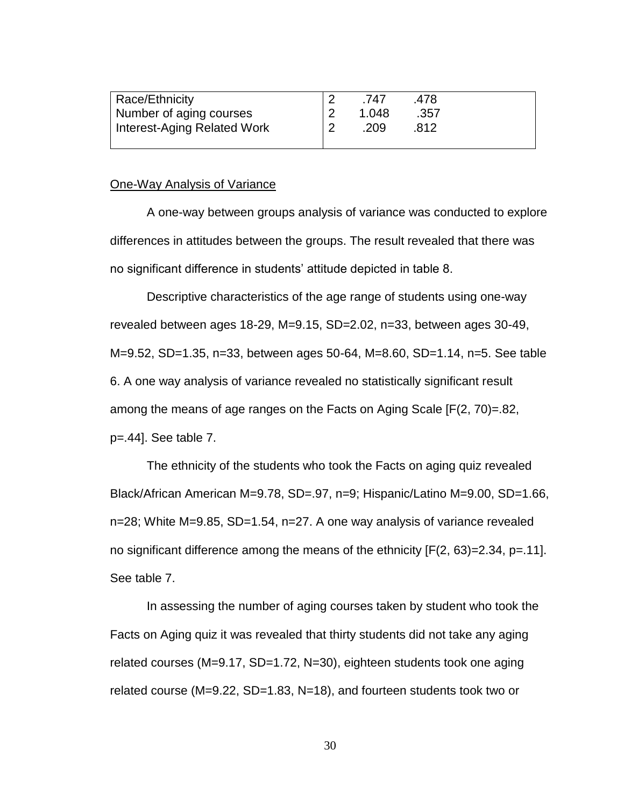| Race/Ethnicity              | .747  | .478 |  |
|-----------------------------|-------|------|--|
| Number of aging courses     | 1.048 | .357 |  |
| Interest-Aging Related Work | .209  | .812 |  |
|                             |       |      |  |

#### One-Way Analysis of Variance

A one-way between groups analysis of variance was conducted to explore differences in attitudes between the groups. The result revealed that there was no significant difference in students' attitude depicted in table 8.

Descriptive characteristics of the age range of students using one-way revealed between ages 18-29, M=9.15, SD=2.02, n=33, between ages 30-49, M=9.52, SD=1.35, n=33, between ages 50-64, M=8.60, SD=1.14, n=5. See table 6. A one way analysis of variance revealed no statistically significant result among the means of age ranges on the Facts on Aging Scale [F(2, 70)=.82, p=.44]. See table 7.

The ethnicity of the students who took the Facts on aging quiz revealed Black/African American M=9.78, SD=.97, n=9; Hispanic/Latino M=9.00, SD=1.66, n=28; White M=9.85, SD=1.54, n=27. A one way analysis of variance revealed no significant difference among the means of the ethnicity  $[F(2, 63)=2.34, p=.11]$ . See table 7.

In assessing the number of aging courses taken by student who took the Facts on Aging quiz it was revealed that thirty students did not take any aging related courses (M=9.17, SD=1.72, N=30), eighteen students took one aging related course (M=9.22, SD=1.83, N=18), and fourteen students took two or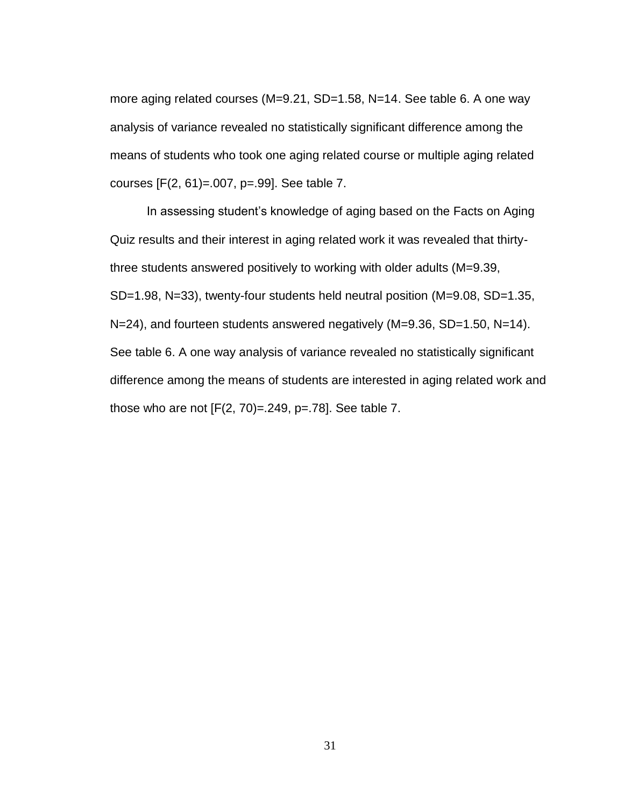more aging related courses (M=9.21, SD=1.58, N=14. See table 6. A one way analysis of variance revealed no statistically significant difference among the means of students who took one aging related course or multiple aging related courses [F(2, 61)=.007, p=.99]. See table 7.

<span id="page-41-0"></span>In assessing student's knowledge of aging based on the Facts on Aging Quiz results and their interest in aging related work it was revealed that thirtythree students answered positively to working with older adults (M=9.39, SD=1.98, N=33), twenty-four students held neutral position (M=9.08, SD=1.35, N=24), and fourteen students answered negatively (M=9.36, SD=1.50, N=14). See table 6. A one way analysis of variance revealed no statistically significant difference among the means of students are interested in aging related work and those who are not  $[F(2, 70)=0.249, p=.78]$ . See table 7.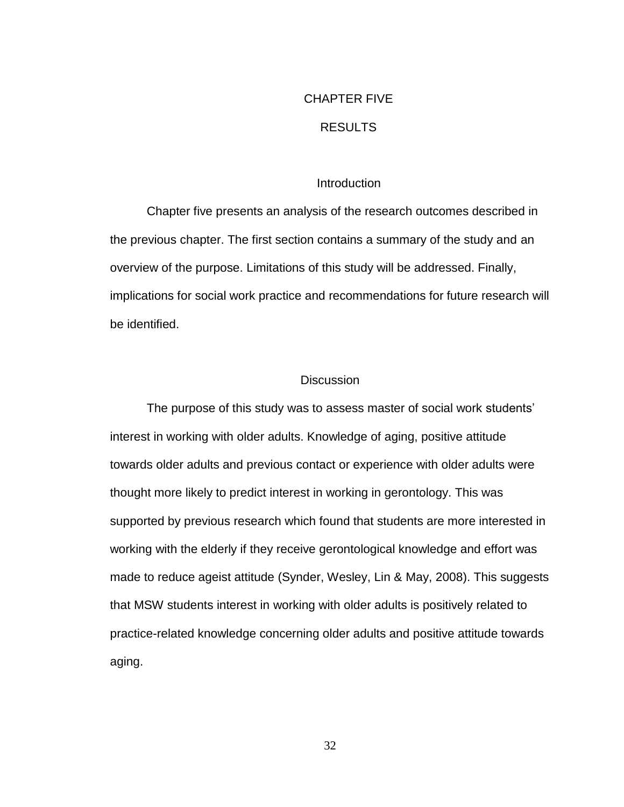# CHAPTER FIVE

## RESULTS

## **Introduction**

Chapter five presents an analysis of the research outcomes described in the previous chapter. The first section contains a summary of the study and an overview of the purpose. Limitations of this study will be addressed. Finally, implications for social work practice and recommendations for future research will be identified.

## **Discussion**

The purpose of this study was to assess master of social work students' interest in working with older adults. Knowledge of aging, positive attitude towards older adults and previous contact or experience with older adults were thought more likely to predict interest in working in gerontology. This was supported by previous research which found that students are more interested in working with the elderly if they receive gerontological knowledge and effort was made to reduce ageist attitude (Synder, Wesley, Lin & May, 2008). This suggests that MSW students interest in working with older adults is positively related to practice-related knowledge concerning older adults and positive attitude towards aging.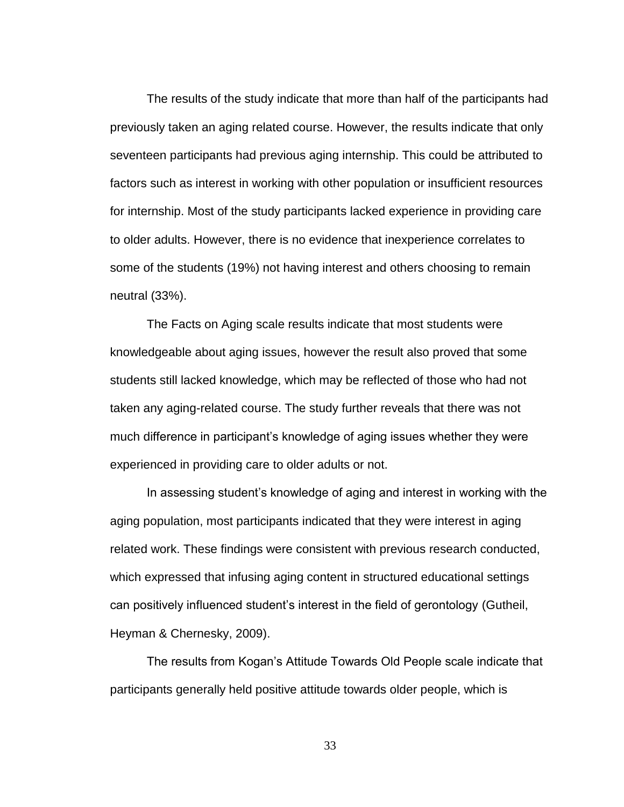The results of the study indicate that more than half of the participants had previously taken an aging related course. However, the results indicate that only seventeen participants had previous aging internship. This could be attributed to factors such as interest in working with other population or insufficient resources for internship. Most of the study participants lacked experience in providing care to older adults. However, there is no evidence that inexperience correlates to some of the students (19%) not having interest and others choosing to remain neutral (33%).

The Facts on Aging scale results indicate that most students were knowledgeable about aging issues, however the result also proved that some students still lacked knowledge, which may be reflected of those who had not taken any aging-related course. The study further reveals that there was not much difference in participant's knowledge of aging issues whether they were experienced in providing care to older adults or not.

In assessing student's knowledge of aging and interest in working with the aging population, most participants indicated that they were interest in aging related work. These findings were consistent with previous research conducted, which expressed that infusing aging content in structured educational settings can positively influenced student's interest in the field of gerontology (Gutheil, Heyman & Chernesky, 2009).

The results from Kogan's Attitude Towards Old People scale indicate that participants generally held positive attitude towards older people, which is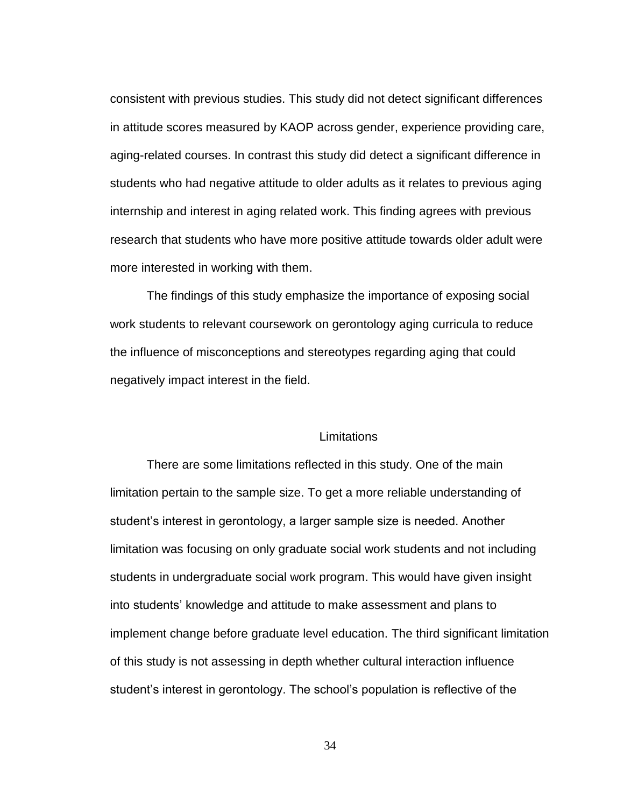consistent with previous studies. This study did not detect significant differences in attitude scores measured by KAOP across gender, experience providing care, aging-related courses. In contrast this study did detect a significant difference in students who had negative attitude to older adults as it relates to previous aging internship and interest in aging related work. This finding agrees with previous research that students who have more positive attitude towards older adult were more interested in working with them.

The findings of this study emphasize the importance of exposing social work students to relevant coursework on gerontology aging curricula to reduce the influence of misconceptions and stereotypes regarding aging that could negatively impact interest in the field.

## Limitations

There are some limitations reflected in this study. One of the main limitation pertain to the sample size. To get a more reliable understanding of student's interest in gerontology, a larger sample size is needed. Another limitation was focusing on only graduate social work students and not including students in undergraduate social work program. This would have given insight into students' knowledge and attitude to make assessment and plans to implement change before graduate level education. The third significant limitation of this study is not assessing in depth whether cultural interaction influence student's interest in gerontology. The school's population is reflective of the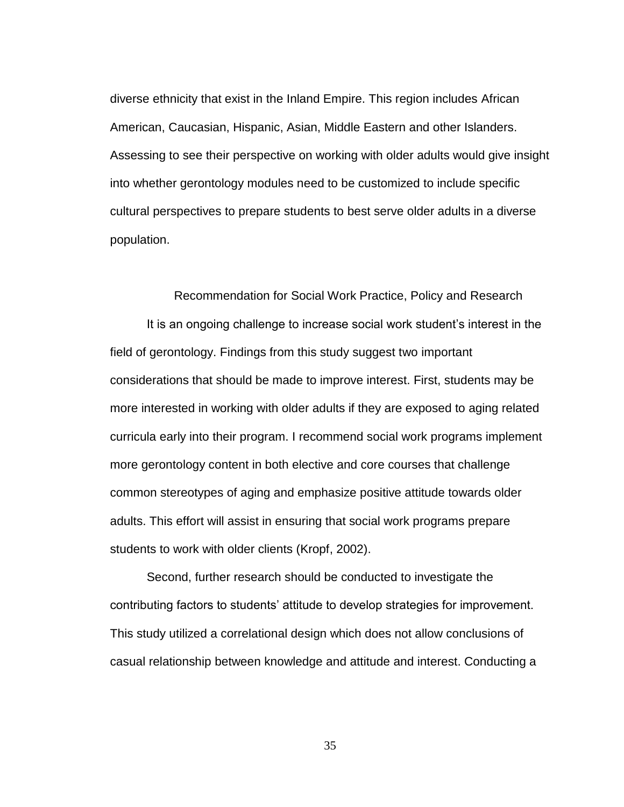diverse ethnicity that exist in the Inland Empire. This region includes African American, Caucasian, Hispanic, Asian, Middle Eastern and other Islanders. Assessing to see their perspective on working with older adults would give insight into whether gerontology modules need to be customized to include specific cultural perspectives to prepare students to best serve older adults in a diverse population.

Recommendation for Social Work Practice, Policy and Research

It is an ongoing challenge to increase social work student's interest in the field of gerontology. Findings from this study suggest two important considerations that should be made to improve interest. First, students may be more interested in working with older adults if they are exposed to aging related curricula early into their program. I recommend social work programs implement more gerontology content in both elective and core courses that challenge common stereotypes of aging and emphasize positive attitude towards older adults. This effort will assist in ensuring that social work programs prepare students to work with older clients (Kropf, 2002).

Second, further research should be conducted to investigate the contributing factors to students' attitude to develop strategies for improvement. This study utilized a correlational design which does not allow conclusions of casual relationship between knowledge and attitude and interest. Conducting a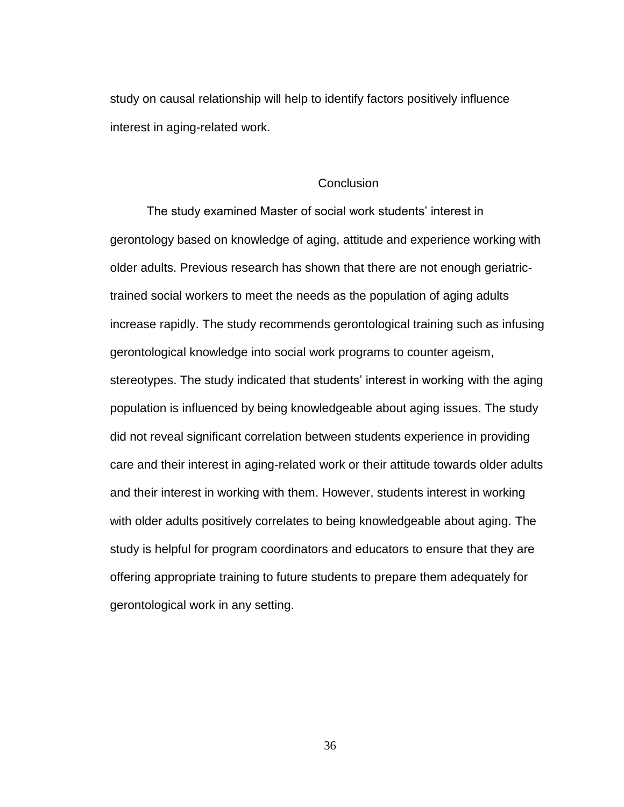study on causal relationship will help to identify factors positively influence interest in aging-related work.

#### **Conclusion**

The study examined Master of social work students' interest in gerontology based on knowledge of aging, attitude and experience working with older adults. Previous research has shown that there are not enough geriatrictrained social workers to meet the needs as the population of aging adults increase rapidly. The study recommends gerontological training such as infusing gerontological knowledge into social work programs to counter ageism, stereotypes. The study indicated that students' interest in working with the aging population is influenced by being knowledgeable about aging issues. The study did not reveal significant correlation between students experience in providing care and their interest in aging-related work or their attitude towards older adults and their interest in working with them. However, students interest in working with older adults positively correlates to being knowledgeable about aging. The study is helpful for program coordinators and educators to ensure that they are offering appropriate training to future students to prepare them adequately for gerontological work in any setting.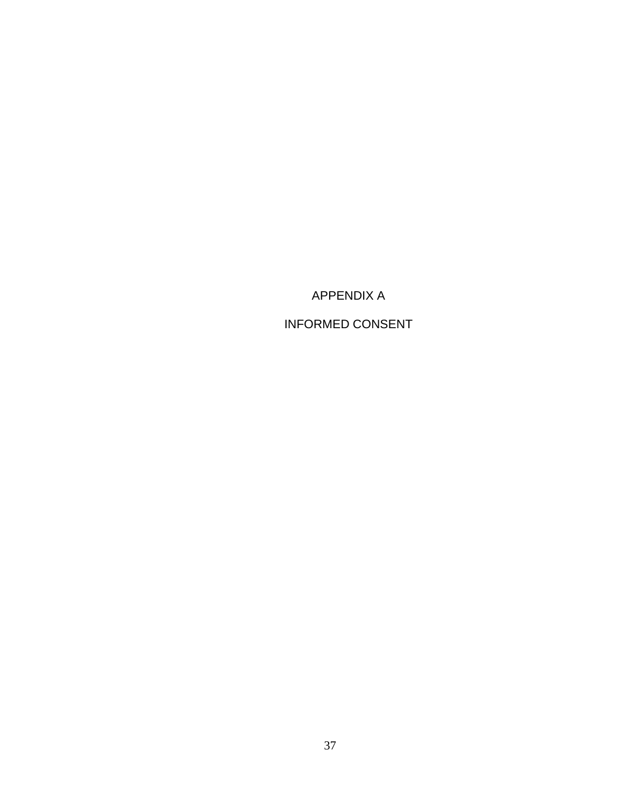APPENDIX A

INFORMED CONSENT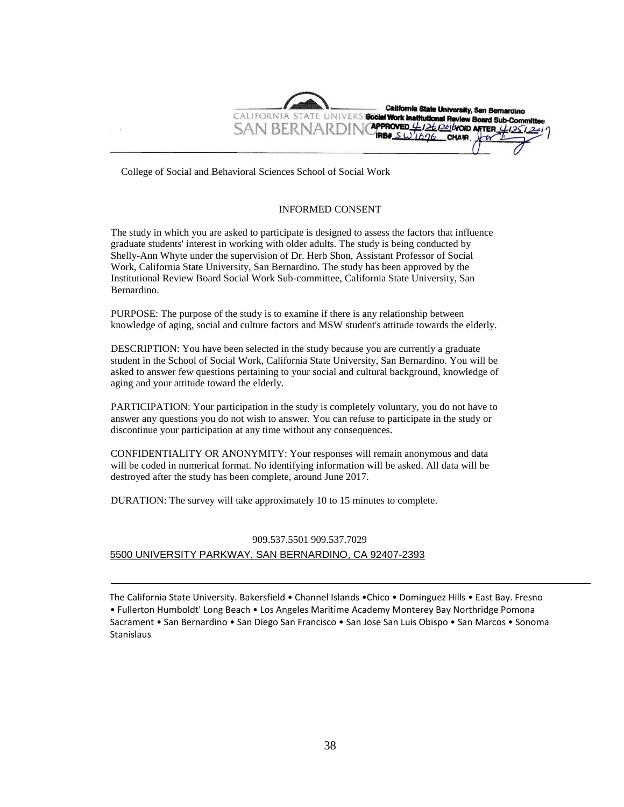California State University, San Bernardino CALIFORNIA STATE UNIVERS Social Work Institutional Review Board Sub-Committee **APPROVED**  $\frac{\mu}{2}$   $\frac{126}{20}$  (void AFTER  $\frac{\mu}{25}$  2 SAN BERNARDII IRBE  $SW1696$ CHAIR

College of Social and Behavioral Sciences School of Social Work

#### INFORMED CONSENT

The study in which you are asked to participate is designed to assess the factors that influence graduate students' interest in working with older adults. The study is being conducted by Shelly-Ann Whyte under the supervision of Dr. Herb Shon, Assistant Professor of Social Work, California State University, San Bernardino. The study has been approved by the Institutional Review Board Social Work Sub-committee, California State University, San Bernardino.

PURPOSE: The purpose of the study is to examine if there is any relationship between knowledge of aging, social and culture factors and MSW student's attitude towards the elderly.

DESCRIPTION: You have been selected in the study because you are currently a graduate student in the School of Social Work, California State University, San Bernardino. You will be asked to answer few questions pertaining to your social and cultural background, knowledge of aging and your attitude toward the elderly.

PARTICIPATION: Your participation in the study is completely voluntary, you do not have to answer any questions you do not wish to answer. You can refuse to participate in the study or discontinue your participation at any time without any consequences.

CONFIDENTIALITY OR ANONYMITY: Your responses will remain anonymous and data will be coded in numerical format. No identifying information will be asked. All data will be destroyed after the study has been complete, around June 2017.

DURATION: The survey will take approximately 10 to 15 minutes to complete.

## 909.537.5501 909.537.7029 5500 UNIVERSITY PARKWAY, SAN BERNARDINO, CA 92407-2393

The California State University. Bakersfield • Channel Islands •Chico • Dominguez Hills • East Bay. Fresno • Fullerton Humboldt' Long Beach • Los Angeles Maritime Academy Monterey Bay Northridge Pomona Sacrament • San Bernardino • San Diego San Francisco • San Jose San Luis Obispo • San Marcos • Sonoma Stanislaus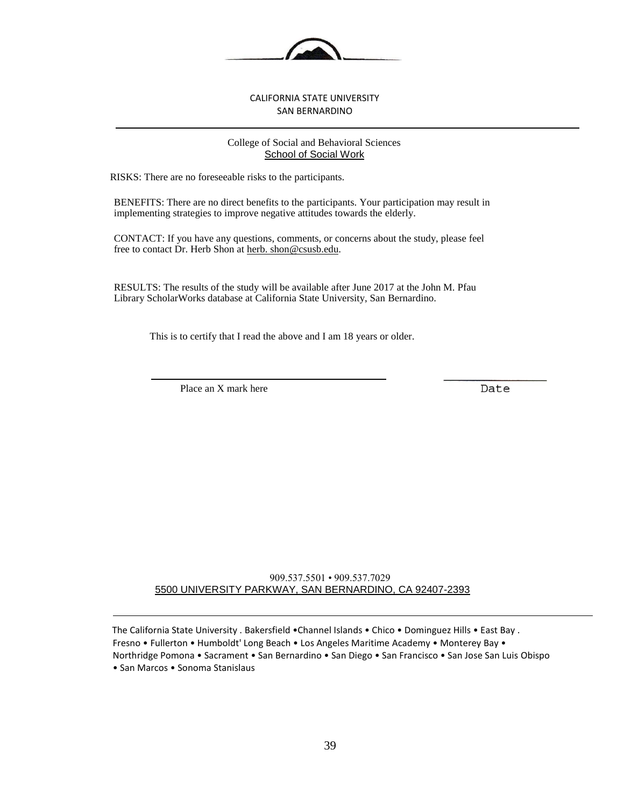

#### CALIFORNIA STATE UNIVERSITY SAN BERNARDINO

#### College of Social and Behavioral Sciences School of Social Work

RISKS: There are no foreseeable risks to the participants.

BENEFITS: There are no direct benefits to the participants. Your participation may result in implementing strategies to improve negative attitudes towards the elderly.

CONTACT: If you have any questions, comments, or concerns about the study, please feel free to contact Dr. Herb Shon at herb. shon@csusb.edu.

RESULTS: The results of the study will be available after June 2017 at the John M. Pfau Library ScholarWorks database at California State University, San Bernardino.

This is to certify that I read the above and I am 18 years or older.

Place an X mark here

Date

909.537.5501 • 909.537.7029 5500 UNIVERSITY PARKWAY, SAN BERNARDINO, CA 92407-2393

The California State University . Bakersfield •Channel Islands • Chico • Dominguez Hills • East Bay . Fresno • Fullerton • Humboldt' Long Beach • Los Angeles Maritime Academy • Monterey Bay • Northridge Pomona • Sacrament • San Bernardino • San Diego • San Francisco • San Jose San Luis Obispo • San Marcos • Sonoma Stanislaus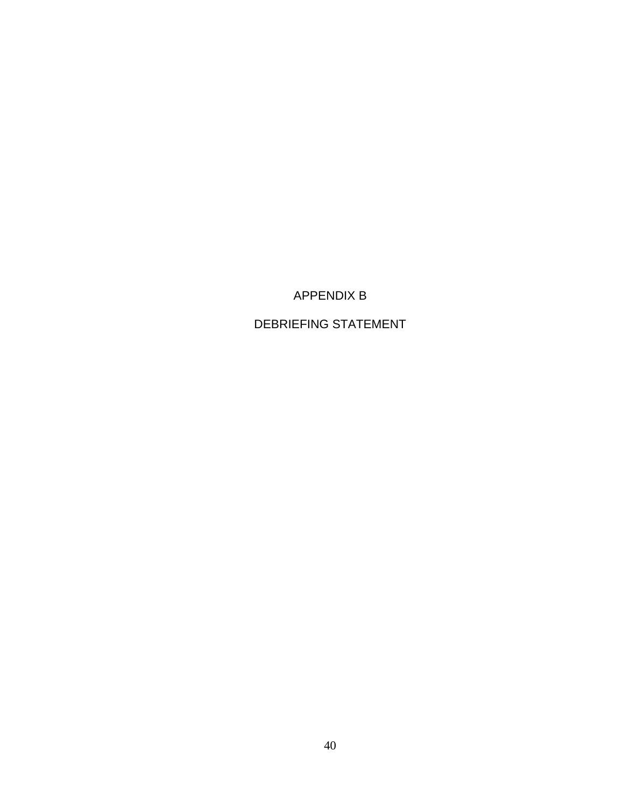## APPENDIX B

## DEBRIEFING STATEMENT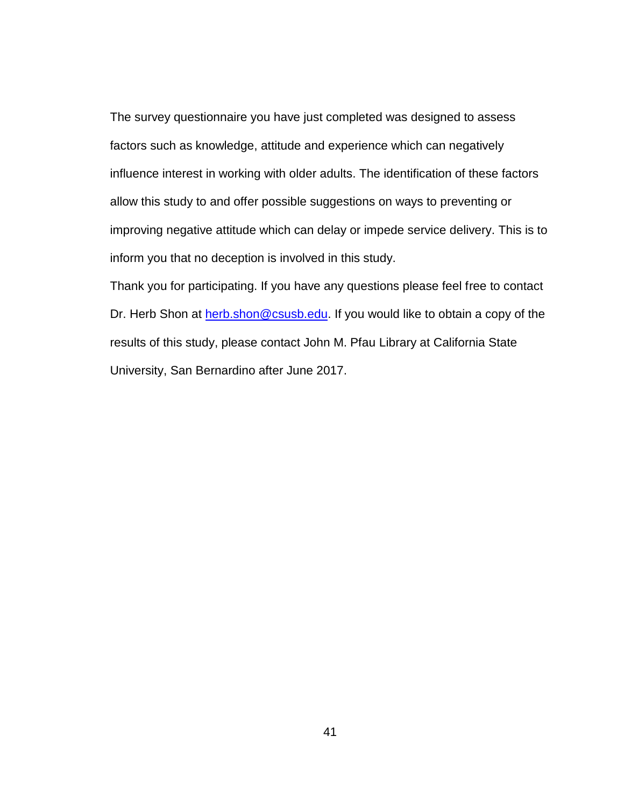The survey questionnaire you have just completed was designed to assess factors such as knowledge, attitude and experience which can negatively influence interest in working with older adults. The identification of these factors allow this study to and offer possible suggestions on ways to preventing or improving negative attitude which can delay or impede service delivery. This is to inform you that no deception is involved in this study.

Thank you for participating. If you have any questions please feel free to contact Dr. Herb Shon at [herb.shon@csusb.edu.](mailto:herb.shon@csusb.edu) If you would like to obtain a copy of the results of this study, please contact John M. Pfau Library at California State University, San Bernardino after June 2017.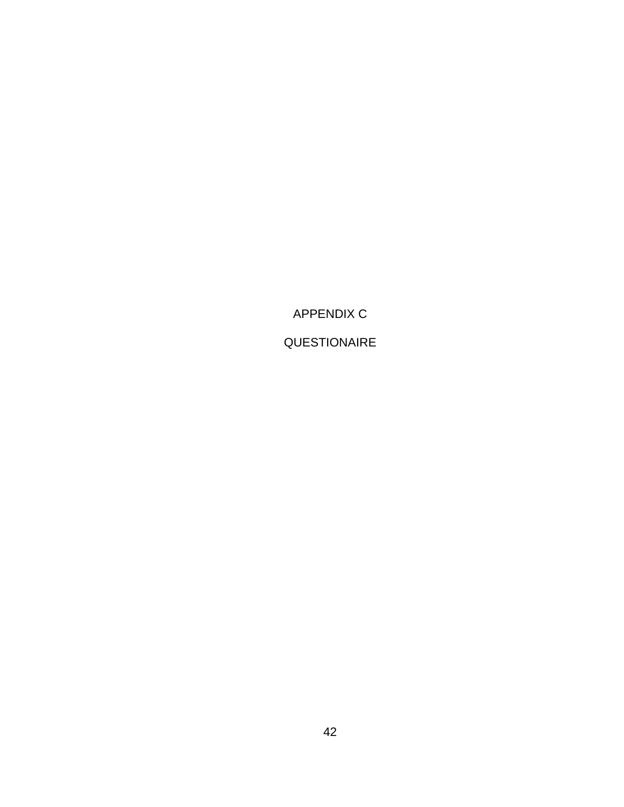APPENDIX C

QUESTIONAIRE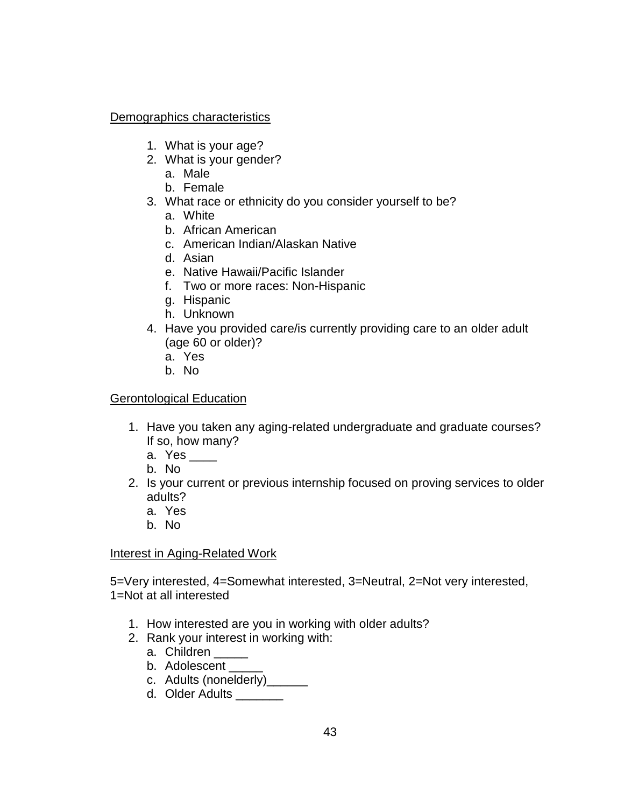## Demographics characteristics

- 1. What is your age?
- 2. What is your gender?
	- a. Male
	- b. Female
- 3. What race or ethnicity do you consider yourself to be?
	- a. White
	- b. African American
	- c. American Indian/Alaskan Native
	- d. Asian
	- e. Native Hawaii/Pacific Islander
	- f. Two or more races: Non-Hispanic
	- g. Hispanic
	- h. Unknown
- 4. Have you provided care/is currently providing care to an older adult (age 60 or older)?
	- a. Yes
	- b. No

## Gerontological Education

- 1. Have you taken any aging-related undergraduate and graduate courses? If so, how many?
	- a. Yes \_\_\_\_
	- b. No
- 2. Is your current or previous internship focused on proving services to older adults?
	- a. Yes
	- b. No

## Interest in Aging-Related Work

5=Very interested, 4=Somewhat interested, 3=Neutral, 2=Not very interested, 1=Not at all interested

- 1. How interested are you in working with older adults?
- 2. Rank your interest in working with:
	- a. Children
	- b. Adolescent
	- c. Adults (nonelderly)\_\_\_\_\_\_
	- d. Older Adults \_\_\_\_\_\_\_\_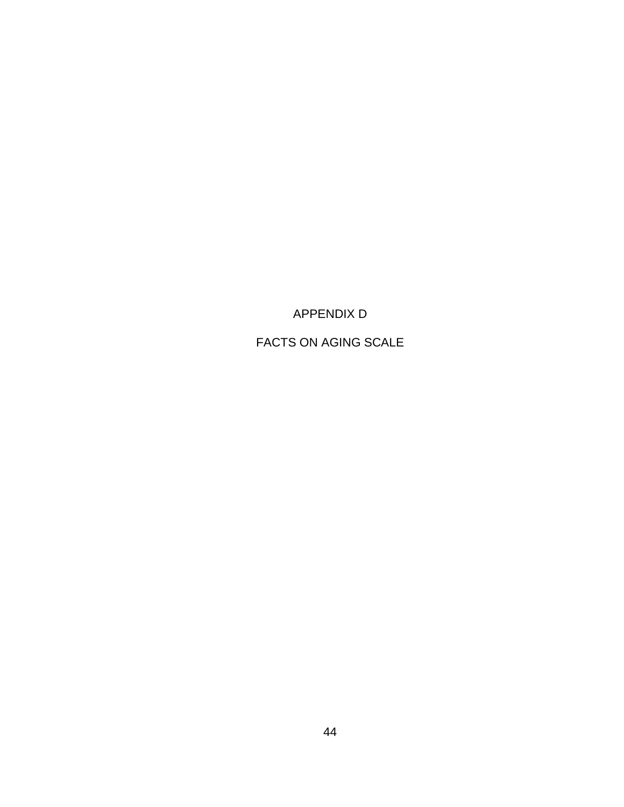APPENDIX D

FACTS ON AGING SCALE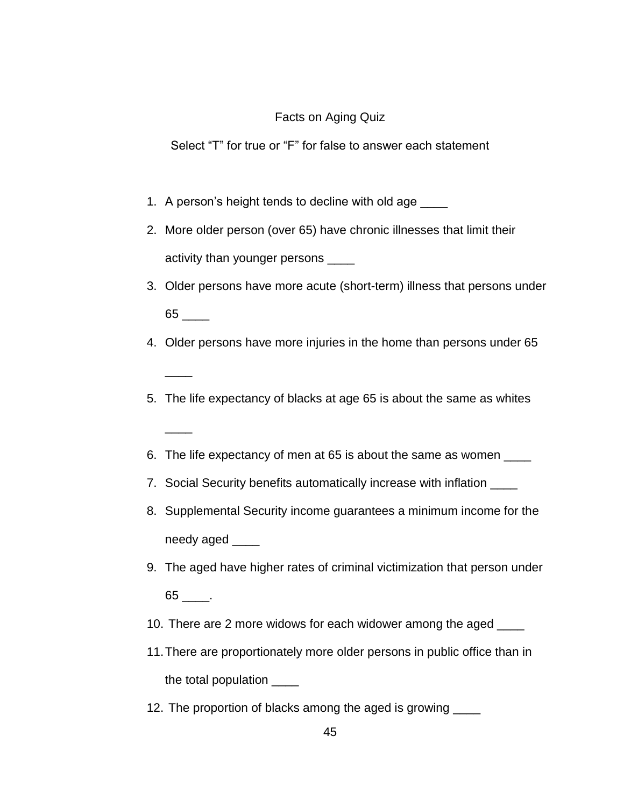## Facts on Aging Quiz

Select "T" for true or "F" for false to answer each statement

1. A person's height tends to decline with old age

 $\overline{\phantom{a}}$ 

 $\overline{\phantom{a}}$ 

- 2. More older person (over 65) have chronic illnesses that limit their activity than younger persons \_\_\_\_
- 3. Older persons have more acute (short-term) illness that persons under  $65$   $\qquad$
- 4. Older persons have more injuries in the home than persons under 65
- 5. The life expectancy of blacks at age 65 is about the same as whites
- 6. The life expectancy of men at 65 is about the same as women \_\_\_\_
- 7. Social Security benefits automatically increase with inflation
- 8. Supplemental Security income guarantees a minimum income for the needy aged
- 9. The aged have higher rates of criminal victimization that person under 65 \_\_\_\_.
- 10. There are 2 more widows for each widower among the aged \_\_\_\_
- 11.There are proportionately more older persons in public office than in the total population \_\_\_\_
- 12. The proportion of blacks among the aged is growing \_\_\_\_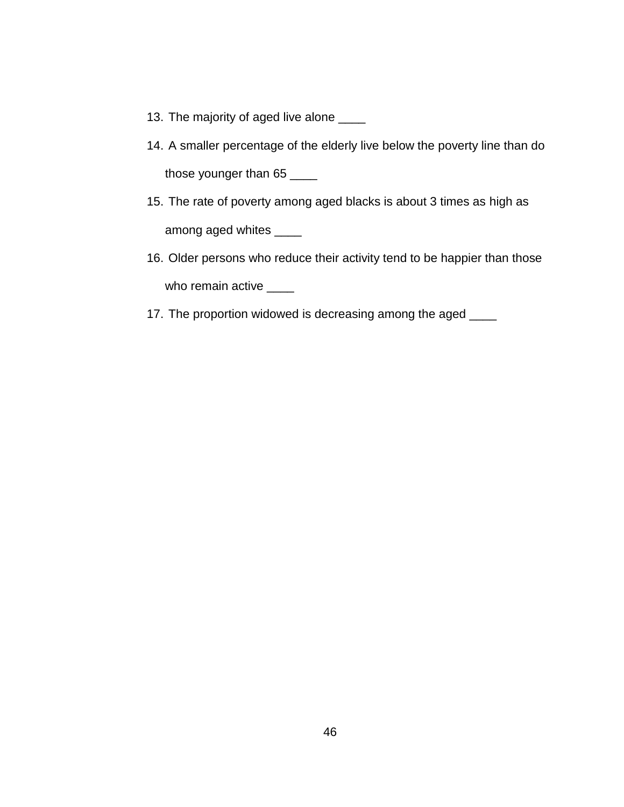- 13. The majority of aged live alone \_\_\_\_
- 14. A smaller percentage of the elderly live below the poverty line than do those younger than 65
- 15. The rate of poverty among aged blacks is about 3 times as high as among aged whites \_\_\_\_\_
- 16. Older persons who reduce their activity tend to be happier than those who remain active \_\_\_\_
- 17. The proportion widowed is decreasing among the aged \_\_\_\_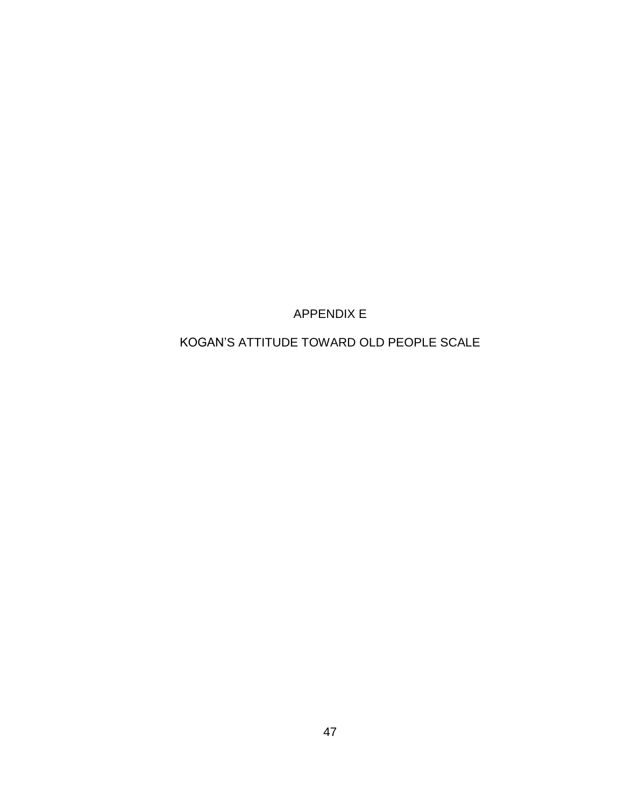APPENDIX E

KOGAN'S ATTITUDE TOWARD OLD PEOPLE SCALE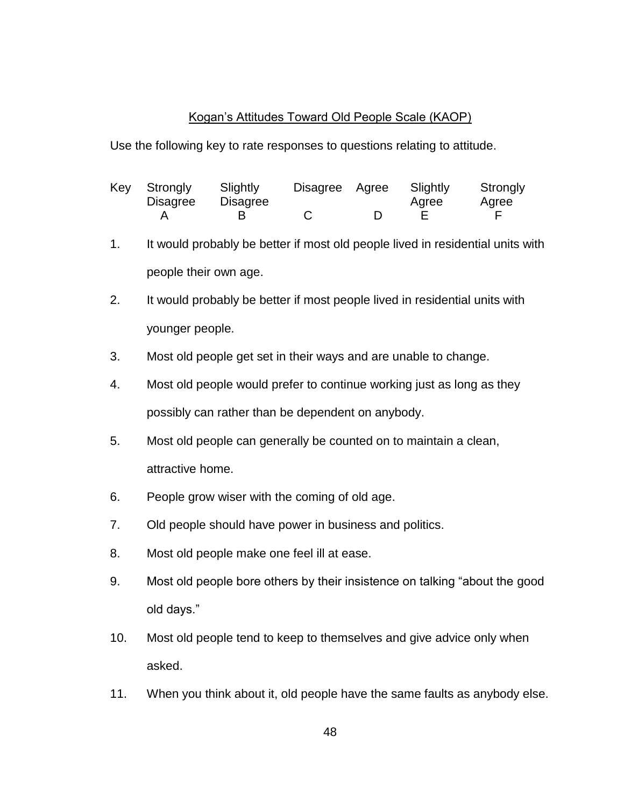## Kogan's Attitudes Toward Old People Scale (KAOP)

Use the following key to rate responses to questions relating to attitude.

| Key Strongly<br><b>Disagree</b> | Slightly<br><b>Disagree</b> | Disagree Agree | Slightly<br>Agree | Strongly<br>Agree |
|---------------------------------|-----------------------------|----------------|-------------------|-------------------|
|                                 |                             |                |                   |                   |

- 1. It would probably be better if most old people lived in residential units with people their own age.
- 2. It would probably be better if most people lived in residential units with younger people.
- 3. Most old people get set in their ways and are unable to change.
- 4. Most old people would prefer to continue working just as long as they possibly can rather than be dependent on anybody.
- 5. Most old people can generally be counted on to maintain a clean, attractive home.
- 6. People grow wiser with the coming of old age.
- 7. Old people should have power in business and politics.
- 8. Most old people make one feel ill at ease.
- 9. Most old people bore others by their insistence on talking "about the good old days."
- 10. Most old people tend to keep to themselves and give advice only when asked.
- 11. When you think about it, old people have the same faults as anybody else.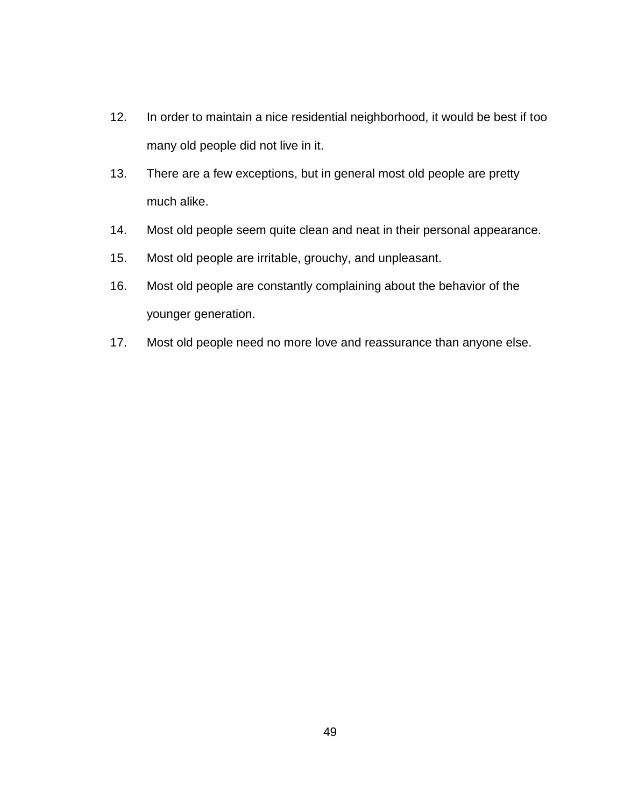- 12. In order to maintain a nice residential neighborhood, it would be best if too many old people did not live in it.
- 13. There are a few exceptions, but in general most old people are pretty much alike.
- 14. Most old people seem quite clean and neat in their personal appearance.
- 15. Most old people are irritable, grouchy, and unpleasant.
- 16. Most old people are constantly complaining about the behavior of the younger generation.
- 17. Most old people need no more love and reassurance than anyone else.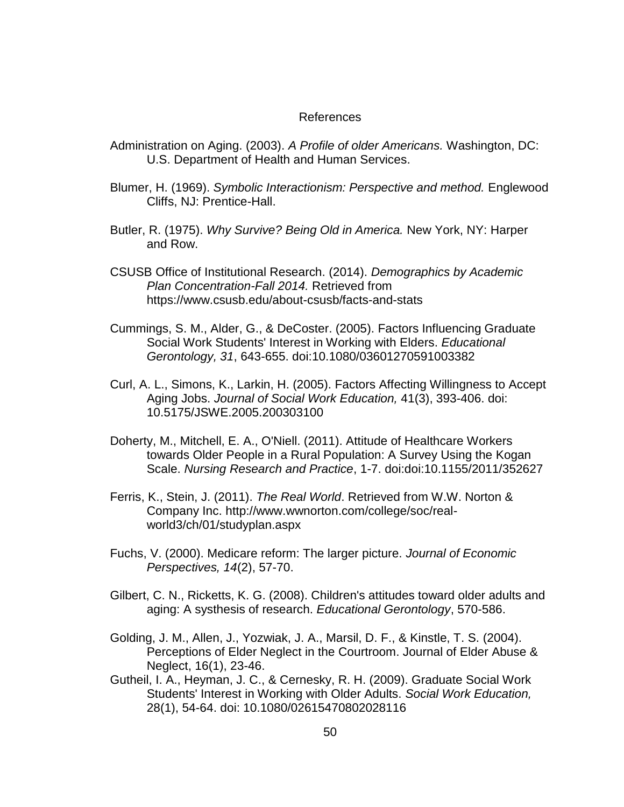#### References

- Administration on Aging. (2003). *A Profile of older Americans.* Washington, DC: U.S. Department of Health and Human Services.
- Blumer, H. (1969). *Symbolic Interactionism: Perspective and method.* Englewood Cliffs, NJ: Prentice-Hall.
- Butler, R. (1975). *Why Survive? Being Old in America.* New York, NY: Harper and Row.
- CSUSB Office of Institutional Research. (2014). *Demographics by Academic Plan Concentration-Fall 2014.* Retrieved from https://www.csusb.edu/about-csusb/facts-and-stats
- Cummings, S. M., Alder, G., & DeCoster. (2005). Factors Influencing Graduate Social Work Students' Interest in Working with Elders. *Educational Gerontology, 31*, 643-655. doi:10.1080/03601270591003382
- Curl, A. L., Simons, K., Larkin, H. (2005). Factors Affecting Willingness to Accept Aging Jobs. *Journal of Social Work Education,* 41(3), 393-406. doi: 10.5175/JSWE.2005.200303100
- Doherty, M., Mitchell, E. A., O'Niell. (2011). Attitude of Healthcare Workers towards Older People in a Rural Population: A Survey Using the Kogan Scale. *Nursing Research and Practice*, 1-7. doi:doi:10.1155/2011/352627
- Ferris, K., Stein, J. (2011). *The Real World*. Retrieved from W.W. Norton & Company Inc. http://www.wwnorton.com/college/soc/realworld3/ch/01/studyplan.aspx
- Fuchs, V. (2000). Medicare reform: The larger picture. *Journal of Economic Perspectives, 14*(2), 57-70.
- Gilbert, C. N., Ricketts, K. G. (2008). Children's attitudes toward older adults and aging: A systhesis of research. *Educational Gerontology*, 570-586.
- Golding, J. M., Allen, J., Yozwiak, J. A., Marsil, D. F., & Kinstle, T. S. (2004). Perceptions of Elder Neglect in the Courtroom. Journal of Elder Abuse & Neglect, 16(1), 23-46.
- Gutheil, I. A., Heyman, J. C., & Cernesky, R. H. (2009). Graduate Social Work Students' Interest in Working with Older Adults. *Social Work Education,* 28(1), 54-64. doi: 10.1080/02615470802028116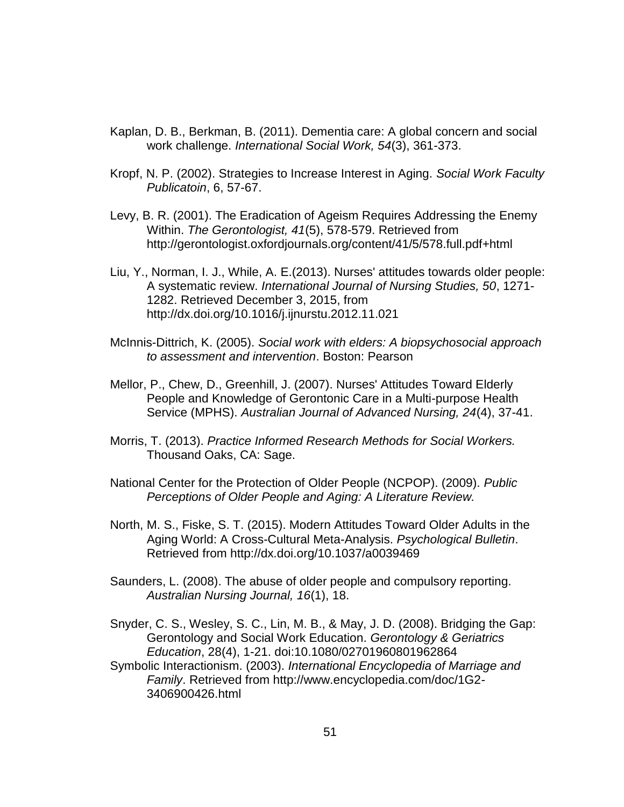- Kaplan, D. B., Berkman, B. (2011). Dementia care: A global concern and social work challenge. *International Social Work, 54*(3), 361-373.
- Kropf, N. P. (2002). Strategies to Increase Interest in Aging. *Social Work Faculty Publicatoin*, 6, 57-67.
- Levy, B. R. (2001). The Eradication of Ageism Requires Addressing the Enemy Within. *The Gerontologist, 41*(5), 578-579. Retrieved from http://gerontologist.oxfordjournals.org/content/41/5/578.full.pdf+html
- Liu, Y., Norman, I. J., While, A. E.(2013). Nurses' attitudes towards older people: A systematic review. *International Journal of Nursing Studies, 50*, 1271- 1282. Retrieved December 3, 2015, from http://dx.doi.org/10.1016/j.ijnurstu.2012.11.021
- McInnis-Dittrich, K. (2005). *Social work with elders: A biopsychosocial approach to assessment and intervention*. Boston: Pearson
- Mellor, P., Chew, D., Greenhill, J. (2007). Nurses' Attitudes Toward Elderly People and Knowledge of Gerontonic Care in a Multi-purpose Health Service (MPHS). *Australian Journal of Advanced Nursing, 24*(4), 37-41.
- Morris, T. (2013). *Practice Informed Research Methods for Social Workers.* Thousand Oaks, CA: Sage.
- National Center for the Protection of Older People (NCPOP). (2009). *Public Perceptions of Older People and Aging: A Literature Review.*
- North, M. S., Fiske, S. T. (2015). Modern Attitudes Toward Older Adults in the Aging World: A Cross-Cultural Meta-Analysis. *Psychological Bulletin*. Retrieved from http://dx.doi.org/10.1037/a0039469
- Saunders, L. (2008). The abuse of older people and compulsory reporting. *Australian Nursing Journal, 16*(1), 18.
- Snyder, C. S., Wesley, S. C., Lin, M. B., & May, J. D. (2008). Bridging the Gap: Gerontology and Social Work Education. *Gerontology & Geriatrics Education*, 28(4), 1-21. doi:10.1080/02701960801962864
- Symbolic Interactionism. (2003). *International Encyclopedia of Marriage and Family*. Retrieved from http://www.encyclopedia.com/doc/1G2- 3406900426.html